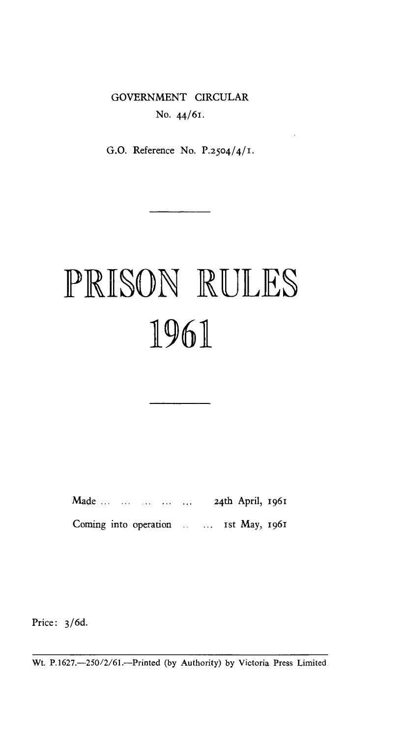# GOVERNMENT CIRCULAR No. 44/61.

G.O. Reference No. P.2504/4/1.

# PRISON RULES 1961

Made ... ... ... ... ... 24th April, 1961 Coming into operation ... ... Ist May, 1961

Price: 3/6d.

Wt. P.1627.--250/2/61.---Printed (by Authority) by Victoria Press Limited.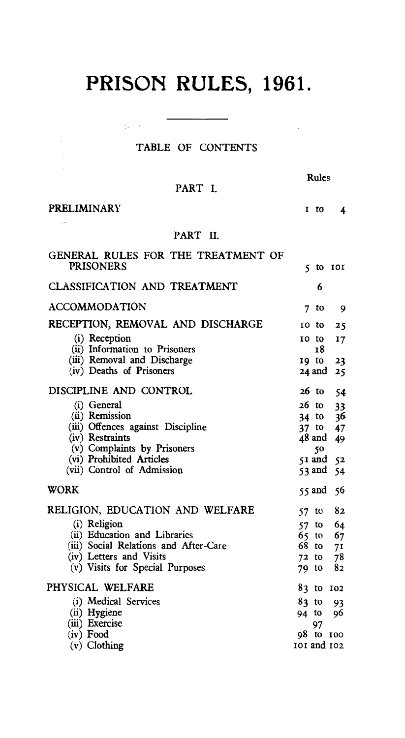# **PRISON RULES, 1961.**

## TABLE OF CONTENTS

 $\langle \phi_{\rm{max}} \rangle = 1$ 

|--|

 $\sim$ 

PART I.

I to 4

PRELIMINARY

 $\Delta\phi$  and

 $\mathcal{A}^{\mathcal{A}}$ 

### PART II.

| GENERAL RULES FOR THE TREATMENT OF<br><b>PRISONERS</b> |                   |
|--------------------------------------------------------|-------------------|
|                                                        | $5$ to $101$      |
| <b>CLASSIFICATION AND TREATMENT</b>                    | 6                 |
| <b>ACCOMMODATION</b>                                   | to<br>7<br>9      |
| RECEPTION, REMOVAL AND DISCHARGE                       | 10<br>to<br>25    |
| (i) Reception<br>(ii) Information to Prisoners         | 10 to<br>17<br>18 |
| (iii) Removal and Discharge                            | 19 to<br>23       |
| (iv) Deaths of Prisoners                               | 24 and 25         |
| DISCIPLINE AND CONTROL                                 | 26 to<br>-54      |
| (i) General                                            | 26 to<br>33       |
| (ii) Remission                                         | 36<br>34 to       |
| (iii) Offences against Discipline                      | 37 to 47          |
| (iv) Restraints                                        | 48 and<br>49      |
| (v) Complaints by Prisoners                            | 50                |
| (vi) Prohibited Articles                               | $51$ and $52$     |
| (vii) Control of Admission                             | 53 and 54         |
| <b>WORK</b>                                            | $55$ and $56$     |
| RELIGION, EDUCATION AND WELFARE                        | 82<br>57 to       |
| (i) Religion                                           | to $64$<br>57     |
| (ii) Education and Libraries                           | 67<br>65.<br>to   |
| (iii) Social Relations and After-Care                  | 68.<br>to<br>71   |
| (iv) Letters and Visits                                | 78<br>$72$ to     |
| (v) Visits for Special Purposes                        | 82<br>79 to       |
| PHYSICAL WELFARE                                       | 83 to 102         |
| (i) Medical Services                                   | 83 to<br>93       |
| (ii) Hygiene                                           | 94 to<br>96       |
| (iii) Exercise                                         | 97                |
| (iv) Food                                              | 98 to 100         |
| $(v)$ Clothing                                         | 101 and 102       |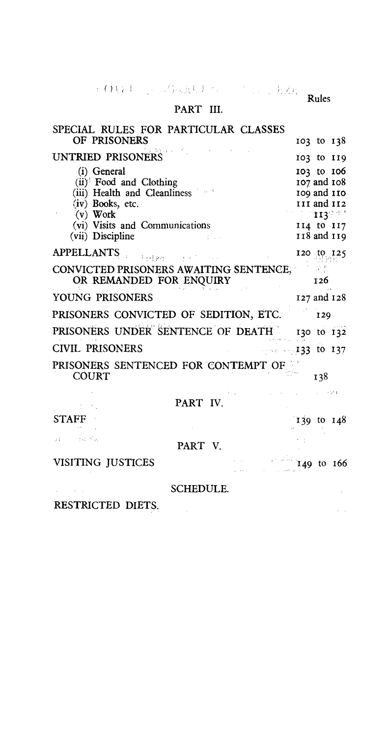$() \setminus i$ 

## PART III.

| SPECIAL RULES FOR PARTICULAR CLASSES   |                       |
|----------------------------------------|-----------------------|
| OF PRISONERS                           | $103 \text{ to } 138$ |
| UNTRIED PRISONERS                      | 103 to 119            |
| (i) General                            | 103 to 106            |
| (ii) Food and Clothing                 | 107 and 108           |
| (iii) Health and Cleanliness           | 109 and 110           |
| (iv) Books, etc.                       | III and II2           |
| $(v)$ Work                             | - 113° <sup>90</sup>  |
| (vi) Visits and Communications         | 114 to 117            |
| (vii) Discipline                       | 118 and 119           |
| APPELLANTS<br>Fail Bryton              | 120 to 125            |
| CONVICTED PRISONERS AWAITING SENTENCE, |                       |
| OR REMANDED FOR ENQUIRY                | 126                   |
| YOUNG PRISONERS                        | 127 and 128           |
| PRISONERS CONVICTED OF SEDITION, ETC.  | 129                   |
| PRISONERS UNDER SENTENCE OF DEATH      | 130 to 132            |
| <b>CIVIL PRISONERS</b>                 | $-46.493$ to 137      |
| PRISONERS SENTENCED FOR CONTEMPT OF    |                       |
| <b>COURT</b>                           | 138                   |
|                                        | $\sim 10^{11}$ f      |
| PART IV.                               |                       |
| <b>STAFF</b>                           | 139 to $148$          |
| in in the Mas<br>ИL<br>PART V          |                       |
|                                        |                       |
| VISITING JUSTICES                      | 149 to 166            |
| <b>SCHEDULE.</b>                       |                       |
|                                        |                       |
| RESTRICTED DIETS.                      |                       |

Rules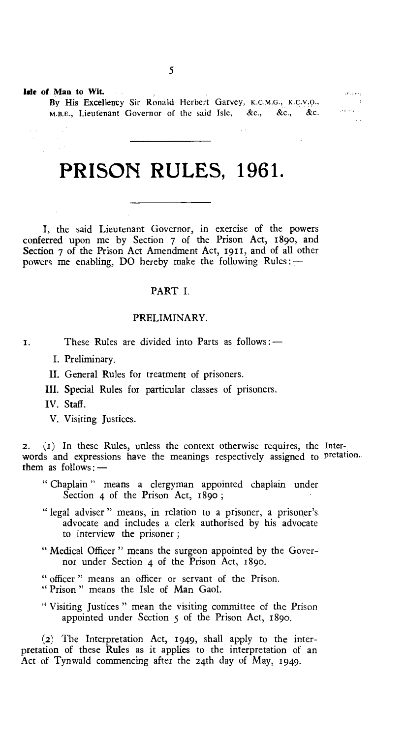lsie of Man to Wit.

By His Excellency Sir Ronald Herbert Garvey, K.C.M.G., K.C.V.O., M.B.E., Lieutenant Governor of the said Isle, &c., &c., &c.

# **PRISON RULES, 1961.**

I, the said Lieutenant Governor, in exercise of the powers conferred upon me by Section 7 of the Prison Act, 189o, and Section 7 of the Prison Act Amendment Act, 1911, and of all other powers me enabling, DO hereby make the following Rules :-

#### PART I.

#### PRELIMINARY.

- 1. These Rules are divided into Parts as follows :—
	- I. Preliminary.
	- II. General Rules for treatment of prisoners.
	- III. Special Rules for particular classes of prisoners.
	- IV. Staff.
	- V. Visiting Justices.

**2. (I)** In these Rules, unless the context otherwise requires, the Interwords and expressions have the meanings respectively assigned to pretation.. them as  $follows:$   $-$ 

- " Chaplain " means a clergyman appointed chaplain under Section 4 of the Prison Act, 1890;
- " legal adviser " means, in relation to a prisoner, a prisoner's advocate and includes a clerk authorised by his advocate to interview the prisoner ;
- " Medical Officer" means the surgeon appointed by the Governor under Section 4 of the Prison Act, 189o.
- " officer " means an officer or servant of the Prison.
- " Prison " means the Isle of Man Gaol.
- Visiting Justices " mean the visiting committee of the Prison appointed under Section 5 of the Prison Act, 189o.

**(2)** The Interpretation Act, 1949, shall apply to the interpretation of these Rules as it applies to the interpretation of an Act of Tynwald commencing after the 24th day of May, 1949.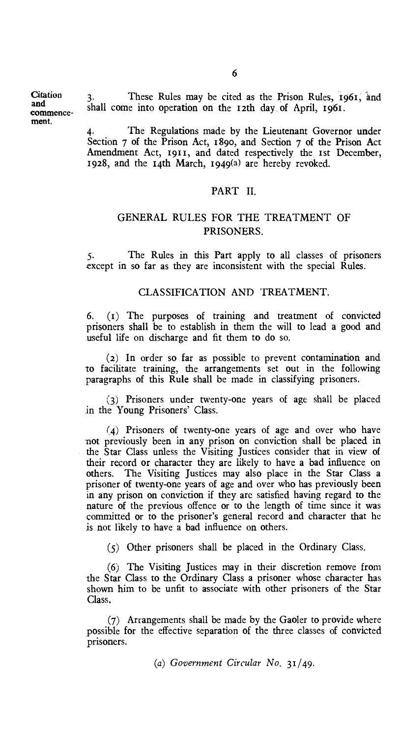**Citation** and commencement.

These Rules may be cited as the Prison Rules, 1961, and shall come into operation on the 12th day of April, 1961.

The Regulations made by the Lieutenant Governor under Section 7 of the Prison Act, 189o, and Section 7 of the Prison Act Amendment Act, 1911, and dated respectively the 1st December, 1928, and the 14th March, 1949(a) are hereby revoked.

#### PART II.

#### GENERAL RULES FOR THE TREATMENT OF PRISONERS.

5. The Rules in this Part apply to all classes of prisoners except in so far as they are inconsistent with the special Rules.

#### CLASSIFICATION AND TREATMENT.

6. (t) The purposes of training and treatment of convicted prisoners shall be to establish in them the will to lead a good and useful life on discharge and fit them to do so.

(2) In order so far as possible to prevent contamination and to facilitate training, the arrangements set out in the following paragraphs of this Rule shall be made in classifying prisoners.

(3) Prisoners under twenty-one years of age shall be placed in the Young Prisoners' Class.

(4) Prisoners of twenty-one years of age and over who have not previously been in any prison on conviction shall be placed in the Star Class unless the Visiting Justices consider that in view of their record or character they are likely to have a bad influence on others. The Visiting Justices may also place in the Star Class a prisoner of twenty-one years of age and over who has previously been in any prison on conviction if they arc satisfied having regard to the nature of the previous offence or to the length of time since it was committed or to the prisoner's general record and character that he is not likely to have a bad influence on others.

(5) Other prisoners shall be placed in the Ordinary Class.

(6) The Visiting Justices may in their discretion remove from the Star Class to the Ordinary Class a prisoner whose character has shown him to be unfit to associate with other prisoners of the Star Class.

(7) Arrangements shall be made by the Gaoler to provide where possible for the effective separation of the three classes of convicted prisoners.

*(a) Government Circular No. 31/49.*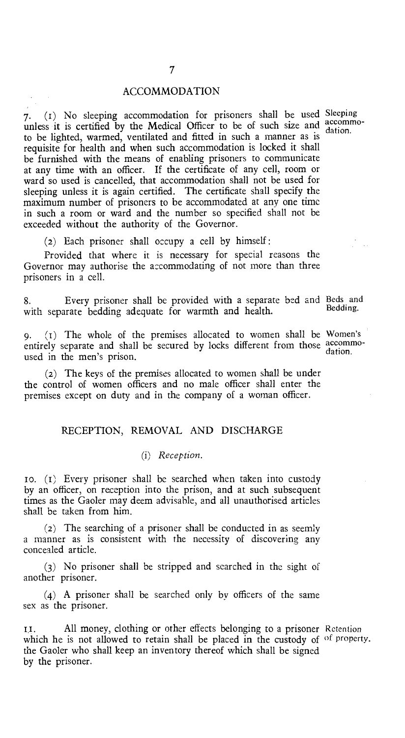#### ACCOMMODATION

7. (1) No sleeping accommodation for prisoners shall be used Sleeping the seeding accommodation for provided  $\frac{1}{2}$  accommodules it is certified by the Medical Officer to be of such size and  $\frac{1}{4}$  dation to be lighted, warmed, ventilated and fitted in such a manner as is requisite for health and when such accommodation is locked it shall be furnished with the means of enabling prisoners to communicate at any time with an officer. If the certificate of any cell, room or ward so used is cancelled, that accommodation shall not be used for sleeping unless it is again certified. The certificate shall specify the maximum number of prisoners to be accommodated at any one time in such a room or ward and the number so specified shall not be exceeded without the authority of the Governor.

(2) Each prisoner shall occupy a cell by himself :

Provided that where it is necessary for special reasons the Governor may authorise the accommodating of not more than three prisoners in a cell.

8. Every prisoner shall be provided with a separate bed and Beds and<br>with concrete hedding edgaugte for wormth and health with separate bedding adequate for warmth and health.

9. (i) The whole of the premises allocated to women shall be Women's entirely separate and shall be secured by locks different from those accommo-<br>used in the men's prison.

(2) The keys of the premises allocated to women shall be under the control of women officers and no male officer shall enter the premises except on duty and in the company of a woman officer.

#### RECEPTION, REMOVAL AND DISCHARGE

#### *(i) Reception.*

1o. (i) Every prisoner shall be searched when taken into custody by an officer, on reception into the prison, and at such subsequent times as the Gaoler may deem advisable, and all unauthorised articles shall be taken from him.

(2) The searching of a prisoner shall be conducted in as seemly a manner as is consistent with the necessity of discovering any concealed article.

(3) No prisoner shall be stripped and searched in the sight of another prisoner.

(4) A prisoner shall be searched only by officers of the same sex as the prisoner.

All money, clothing or other effects belonging to a prisoner Retention II. which he is not allowed to retain shall be placed in the custody of of property. the Gaoler who shall keep an inventory thereof which shall be signed by the prisoner.

dation.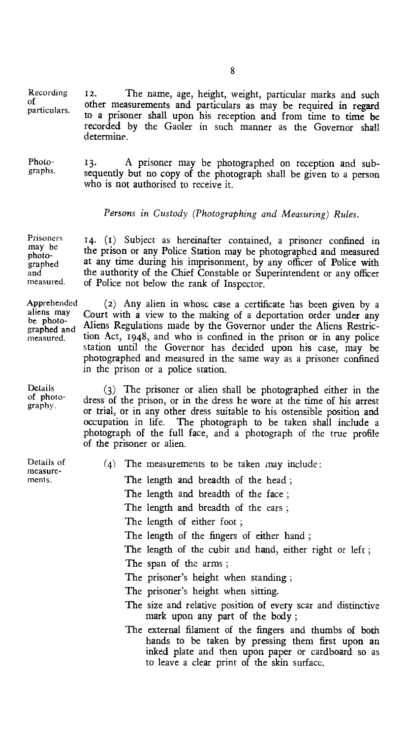Recording of particulars. 12. The name, age, height, weight, particular marks and such other measurements and particulars as may be required in regard to a prisoner shall upon his reception and from time to time be recorded by the Gaoler in such manner as the Governor shall determine.

Photo- 13. A prisoner may be photographed on reception and sub-<br>graphs. sequently but no copy of the photograph chall be given to a person sequently but no copy of the photograph shall be given to a person who is not authorised to receive it.

#### *Persons in Custody (Photographing and Measuring) Rules.*

14. (1) Subject as hereinafter contained, a prisoner confined in the prison or any Police Station may be photographed and measured at any time during his imprisonment, by any officer of Police with the authority of the Chief Constable or Superintendent or any officer of Police not below the rank of Inspector. measured.

> (2) Any alien in whose case a certificate has been given by a Court with a view to the making of a deportation order under any Aliens Regulations made by the Governor under the Aliens Restriction Act, 1948, and who is confined in the prison or in any police station until the Governor has decided upon his case, may be photographed and measured in the same way as a prisoner confined in the prison or a police station.

(3) The prisoner or alien shall be photographed either in the dress of the prison, or in the dress he wore at the time of his arrest or trial, or in any other dress suitable to his ostensible position and occupation in life. The photograph to be taken shall include a photograph of the full face, and a photograph of the true profile of the prisoner or alien.

| The measurements to be taken may include:<br>(4)                                                                                                                  |
|-------------------------------------------------------------------------------------------------------------------------------------------------------------------|
| The length and breadth of the head;                                                                                                                               |
| The length and breadth of the face;                                                                                                                               |
| The length and breadth of the ears;                                                                                                                               |
| The length of either foot;                                                                                                                                        |
| The length of the fingers of either hand;                                                                                                                         |
| The length of the cubit and hand, either right or left;                                                                                                           |
| The span of the arms;                                                                                                                                             |
| The prisoner's height when standing;                                                                                                                              |
| The prisoner's height when sitting.                                                                                                                               |
| The size and relative position of every scar and distinctive<br>mark upon any part of the body;                                                                   |
| The external filament of the fingers and thumbs of both<br>hands to be taken by pressing them first upon an<br>inked plate and then upon paper or cardboard so as |

to leave a clear print of the skin surface.

8

Prisoners may be photographed and

Apprehended aliens may be photographed and measured.

Details of photography.

Details of measurements.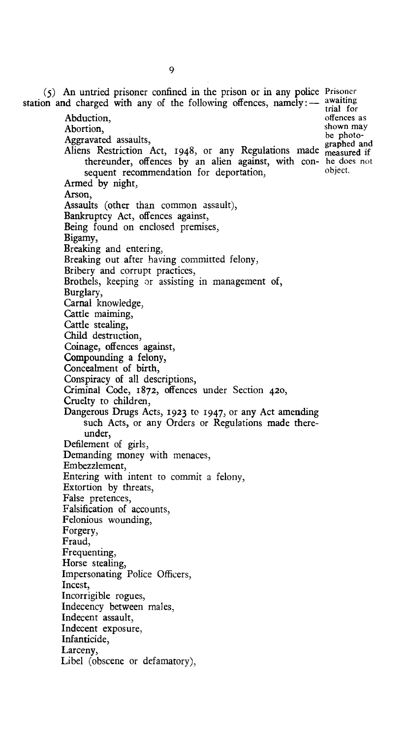(5) An untried prisoner confined in the prison or in any police Prisoner station and charged with any of the following offences, namely:  $-$  awaiting Abduction, Abortion, Aggravated assaults, Aliens Restriction Act, 1948, or any Regulations made measured if thereunder, offences by an alien against, with con-he does not sequent recommendation for deportation, Armed by night, Arson, Assaults (other than common assault), Bankruptcy Act, offences against, Being found on enclosed premises, Bigamy, Breaking and entering, Breaking out after having committed felony, Bribery and corrupt practices, Brothels, keeping or assisting in management of, Burglary, Carnal knowledge, Cattle maiming, Cattle stealing, Child destruction, Coinage, offences against, Compounding a felony, Concealment of birth, Conspiracy of all descriptions, Criminal Code, 1872, offences under Section 42o, Cruelty to children, Dangerous Drugs Acts, 1923 to 1947, or any Act amending such Acts, or any Orders or Regulations made thereunder, Defilement of girls, Demanding money with menaces, Embezzlement, Entering with intent to commit a felony, Extortion by threats, False pretences, Falsification of accounts, Felonious wounding, Forgery, Fraud, Frequenting, Horse stealing, Impersonating Police Officers, Incest, Incorrigible rogues, Indecency between males, Indecent assault, Indecent exposure, Infanticide, Larceny, Libel (obscene or defamatory), trial for offences as shown may be photographed and object.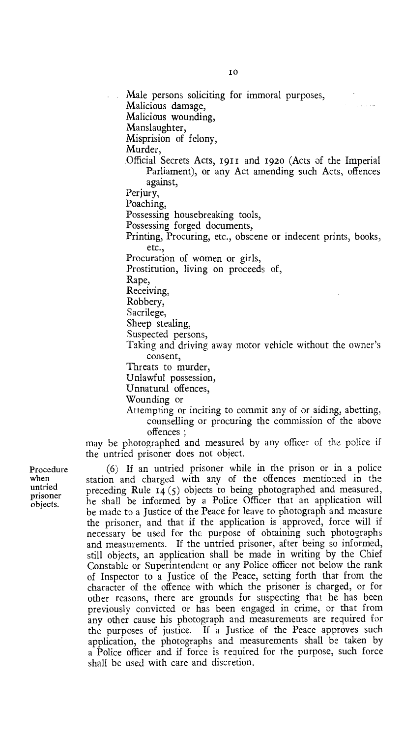Male persons soliciting for immoral purposes, Malicious damage, Malicious wounding, Manslaughter,

Misprision of felony,

Murder,

Official Secrets Acts, 191i and 192o (Acts of the Imperial Parliament), or any Act amending such Acts, offences against,

**Contractor** 

Perjury,

Poaching,

Possessing housebreaking tools,

Possessing forged documents,

Printing, Procuring, etc., obscene or indecent prints, books, etc.,

Procuration of women or girls,

Prostitution, living on proceeds of,

Rape,

Receiving,

Robbery,

Sacrilege,

Sheep stealing,

Suspected persons,

Taking and driving away motor vehicle without the owner's consent,

Threats to murder,

Unlawful possession,

Unnatural offences,

Wounding or

Attempting or inciting to commit any of or aiding, abetting, counselling or procuring the commission of the above offences ;

may be photographed and measured by any officer of the police if the untried prisoner does not object.

Procedure when untried prisoner objects.

(6) If an untried prisoner while in the prison or in a police station and charged with any of the offences mentioned in the preceding Rule 14 (5) objects to being photographed and measured, he shall be informed by a Police Officer that an application will be made to a Justice of the Peace for leave to photograph and measure the prisoner, and that if the application is approved, force will if necessary be used for the purpose of obtaining such photographs and measurements. If the untried prisoner, after being so informed, still objects, an application shall be made in writing by the Chief Constable or Superintendent or any Police officer not below the rank of Inspector to a Justice of the Peace, setting forth that from the character of the offence with which the prisoner is charged, or for other reasons, there are grounds for suspecting that he has been previously convicted or has been engaged in crime, or that from any other cause his photograph and measurements are required for the purposes of justice. If a Justice of the Peace approves such application, the photographs and measurements shall be taken by a Police officer and if force is required for the purpose, such force shall be used with care and discretion.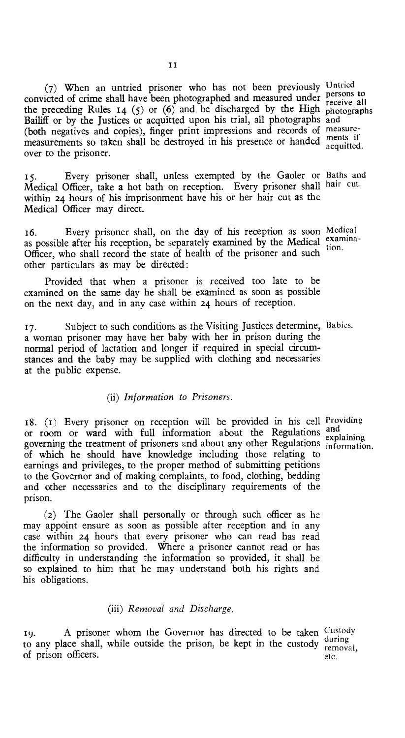(7) When an untried prisoner who has not been previously Untried convicted of crime shall have been photographed and measured under persons to the preceding Rules  $14$  (5) or (6) and be discharged by the High photographs Bailiff or by the Justices or acquitted upon his trial, all photographs and (both negatives and copies), finger print impressions and records of measuremeasurements so taken shall be destroyed in his presence or handed acquitted. over to the prisoner.

15. Every prisoner shall, unless exempted by the Gaoler or Baths and Medical Officer, take a hot bath on reception. Every prisoner shall hair cut. within 24 hours of his imprisonment have his or her hair cut as the Medical Officer may direct.

16. Every prisoner shall, on the day of his reception as soon Medical as possible after his reception, be separately examined by the Medical examina-Officer, who shall record the state of health of the prisoner and such other particulars as may be directed: tion.

Provided that when a prisoner is received too late to be examined on the same day he shall be examined as soon as possible on the next day, and in any case within 24 hours of reception.

17. Subject to such conditions as the Visiting Justices determine, Babies. a woman prisoner may have her baby with her in prison during the normal period of lactation and longer if required in special circumstances and the baby may be supplied with clothing and necessaries at the public expense.

#### *(ii) Information to Prisoners.*

18.  $(1)$  Every prisoner on reception will be provided in his cell Providing or room or ward with full information about the Regulations and governing the treatment of prisoners and about any other Regulations information. of which he should have knowledge including those relating to earnings and privileges, to the proper method of submitting petitions to the Governor and of making complaints, to food, clothing, bedding and other necessaries and to the disciplinary requirements of the prison.

(2) The Gaoler shall personally or through such officer as he may appoint ensure as soon as possible after reception and in any case within 24 hours that every prisoner who can read has read the information so provided. Where a prisoner cannot read or has difficulty in understanding the information so provided, it shall be so explained to him that he may understand both his rights and his obligations.

#### *(iii) Removal and Discharge.*

19. A prisoner whom the Governor has directed to be taken  $\frac{Custody}{dy}$ to any place shall, while outside the prison, be kept in the custody of prison officers. during removal, etc.

explaining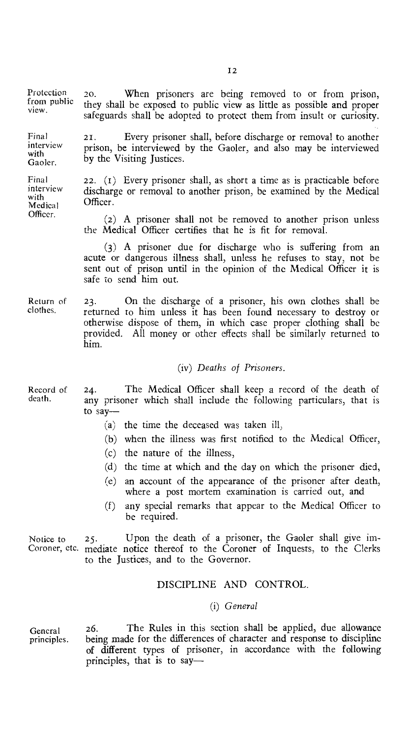Protection from public view.

Final interview with Gaoler.

Final interview with Medical Officer.

21. Every prisoner shall, before discharge or removal to another prison, be interviewed by the Gaoler, and also may be interviewed by the Visiting Justices.

22. (r) Every prisoner shall, as short a time as is practicable before discharge or removal to another prison, be examined by the Medical Officer.

(2) A prisoner shall not be removed to another prison unless the Medical Officer certifies that he is fit for removal.

(3) A prisoner due for discharge who is suffering from an acute or dangerous illness shall, unless he refuses to stay, not be sent out of prison until in the opinion of the Medical Officer it is safe to send him out.

Return of 23. On the discharge of a prisoner, his own clothes shall be clothes. returned to him unless it has been found necessary to destroy or returned to him unless it has been found necessary to destroy or otherwise dispose of them, in which case proper clothing shall be provided. All money or other effects shall be similarly returned to him.

#### (iv) *Deaths of Prisoners.*

- Record of 24. The Medical Officer shall keep a record of the death of death. any prisoner which shall include the following particulars, that is to say—
	- (a) the time the deceased was taken ill,
	- (b) when the illness was first notified to the Medical Officer,
	- (c) the nature of the illness,
	- (d) the time at which and the day on which the prisoner died,
	- (e) an account of the appearance of the prisoner after death, where a post mortem examination is carried out, and
	- (f) any special remarks that appear to the Medical Officer to be required.

Notice to 25. Upon the death of a prisoner, the Gaoler shall give im-Coroner, etc. mediate notice thereof to the Coroner of Inquests, to the Clerks to the Justices, and to the Governor.

#### DISCIPLINE AND CONTROL.

#### *(i) General*

General 26. The Rules in this section shall be applied, due allowance<br>principles. being made for the differences of character and response to discipline being made for the differences of character and response to discipline of different types of prisoner, in accordance with the following principles, that is to say-

20. When prisoners are being removed to or from prison, they shall be exposed to public view as little as possible and proper safeguards shall be adopted to protect them from insult or curiosity.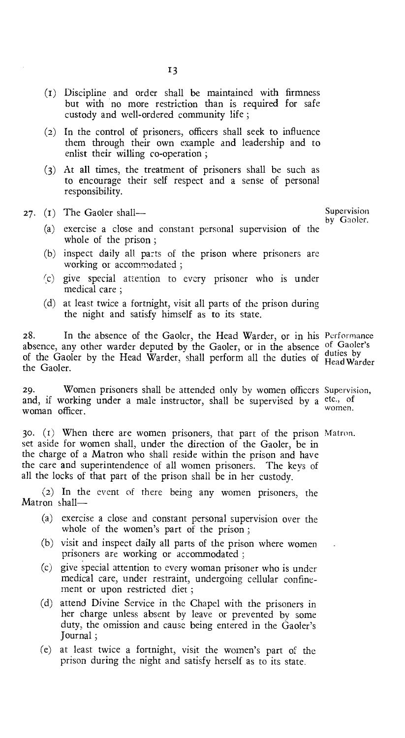- (i) Discipline and order shall be maintained with firmness but with no more restriction than is required for safe custody and well-ordered community life ;
- (2) In the control of prisoners, officers shall seek to influence them through their own example and leadership and to enlist their willing co-operation ;
- (3) At all times, the treatment of prisoners shall be such as to encourage their self respect and a sense of personal responsibility.

#### 27. (1) The Gaoler shall—

by Gaoler.

- (a) exercise a close and constant personal supervision of the whole of the prison ;
- (b) inspect daily all parts of the prison where prisoners are working or accommodated ;
- (c) give special attention to every prisoner who is under medical care ;
- (d) at least twice a fortnight, visit all parts of the prison during the night and satisfy himself as to its state.

28. In the absence of the Gaoler, the Head Warder, or in his Performance absence, any other warder deputed by the Gaoler, or in the absence of Gaoler's dustries, any other warder depaced by the Gaoler, or in the absence duties by of the Gaoler by the Head Warder, shall perform all the duties of Head Warder the Gaoler.

29. Women prisoners shall be attended only by women officers Supervision, and, if working under a male instructor, shall be supervised by a etc., of woman officer.

3o. (r) When there are women prisoners, that part of the prison Matron. set aside for women shall, under the direction of the Gaoler, be in the charge of a Matron who shall reside within the prison and have the care and superintendence of all women prisoners. The keys of all the locks of that part of the prison shall be in her custody.

(2) In the event of there being any women prisoners, the Matron shall—

- (a) exercise a close and constant personal supervision over the whole of the women's part of the prison ;
- (b) visit and inspect daily all parts of the prison where women prisoners are working or accommodated ;
- (c) give special attention to every woman prisoner who is under medical care, under restraint, undergoing cellular confinement or upon restricted diet ;
- (d) attend Divine Service in the Chapel with the prisoners in her charge unless absent by leave or prevented by some duty, the omission and cause being entered in the Gaoler's Journal ;
- (e) at least twice a fortnight, visit the women's part of the prison during the night and satisfy herself as to its state.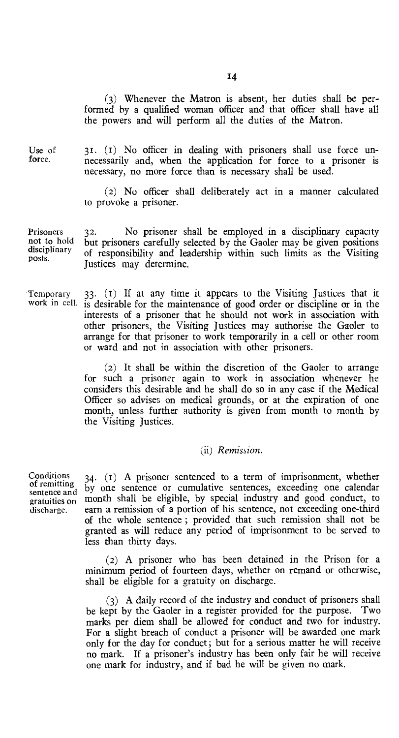(3) Whenever the Matron is absent, her duties shall be performed by a qualified woman officer and that officer shall have all the powers and will perform all the duties of the Matron.

Use of force.

31. (r) No officer in dealing with prisoners shall use force unnecessarily and, when the application for force to a prisoner is necessary, no more force than is necessary shall be used.

(2) No officer shall deliberately act in a manner calculated to provoke a prisoner.

Prisoners not to hold disciplinary posts. 32. No prisoner shall be employed in a disciplinary capacity but prisoners carefully selected by the Gaoler may be given positions of responsibility and leadership within such limits as the Visiting Justices may determine.

Temporary 33.  $(1)$  If at any time it appears to the Visiting Justices that it work in cell. is desirable for the maintenance of good order or discipline or in the is desirable for the maintenance of good order or discipline or in the interests of a prisoner that he should not work in association with other prisoners, the Visiting Justices may authorise the Gaoler to arrange for that prisoner to work temporarily in a cell or other room or ward and not in association with other prisoners.

> (2) It shall be within the discretion of the Gaoler to arrange for such a prisoner again to work in association whenever he considers this desirable and he shall do so in any case if the Medical Officer so advises on medical grounds, or at the expiration of one month, unless further authority is given from month to month by the Visiting Justices.

#### (ii) *Remission.*

34. (1) A prisoner sentenced to a term of imprisonment, whether by one sentence or cumulative sentences, exceeding one calendar month shall be eligible, by special industry and good conduct, to earn a remission of a portion of his sentence, not exceeding one-third of the whole sentence ; provided that such remission shall not be granted as will reduce any period of imprisonment to be served to less than thirty days.

(2) A prisoner who has been detained in the Prison for a minimum period of fourteen days, whether on remand or otherwise, shall be eligible for a gratuity on discharge.

(3) A daily record of the industry and conduct of prisoners shall be kept by the Gaoler in a register provided for the purpose. Two marks per diem shall be allowed for conduct and two for industry. For a slight breach of conduct a prisoner will be awarded one mark only for the day for conduct ; but for a serious matter he will receive no mark. If a prisoner's industry has been only fair he will receive one mark for industry, and if bad he will be given no mark.

Conditions of remitting sentence and gratuities on discharge.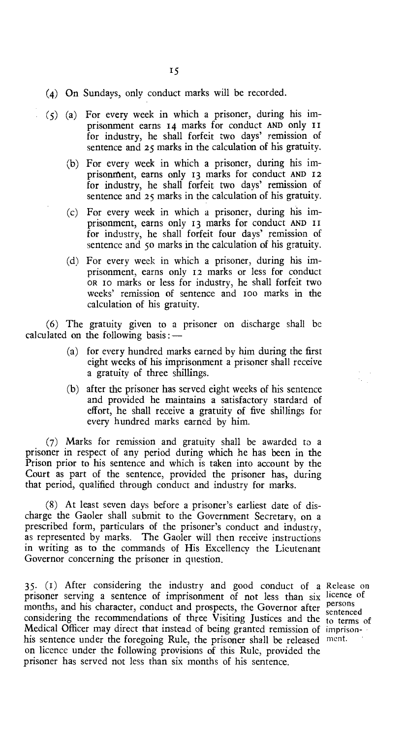- (4) On Sundays, only conduct marks will be recorded.
- (5) (a) For every week in which a prisoner, during his imprisonment earns 14 marks for conduct AND only II for industry, he shall forfeit two days' remission of sentence and 25 marks in the calculation of his gratuity.
	- (b) For every week in which a prisoner, during his imprisonment, earns only 13 marks for conduct AND 12 for industry, he shall forfeit two days' remission of sentence and 25 marks in the calculation of his gratuity.
	- (c) For every week in which a prisoner, during his imprisonment, earns only 13 marks for conduct AND II for industry, he shall forfeit four days' remission of sentence and 5o marks in the calculation of his gratuity.
	- (d) For every week in which a prisoner, during his imprisonment, earns only 12 marks or less for conduct OR io marks or less for industry, he shall forfeit two weeks' remission of sentence and ioo marks in the calculation of his gratuity.

(6) The gratuity given to a prisoner on discharge shall be calculated on the following basis :  $-$ 

- (a) for every hundred marks earned by him during the first eight weeks of his imprisonment a prisoner shall receive a gratuity of three shillings.
- (b) after the prisoner has served eight weeks of his sentence and provided he maintains a satisfactory stardard of effort, he shall receive a gratuity of five shillings for every hundred marks earned by him.

(7) Marks for remission and gratuity shall be awarded to a prisoner in respect of any period during which he has been in the Prison prior to his sentence and which is taken into account by the Court as part of the sentence, provided the prisoner has, during that period, qualified through conduct and industry for marks.

(8) At least seven days before a prisoner's earliest date of discharge the Gaoler shall submit to the Government Secretary, on a prescribed form, particulars of the prisoner's conduct and industry, as represented by marks. The Gaoler will then receive instructions in writing as to the commands of His Excellency the Lieutenant Governor concerning the prisoner in question.

35. (i) After considering the industry and good conduct of a Release on prisoner serving a sentence of imprisonment of not less than six licence of months, and his character, conduct and prospects, the Governor after considering the recommendations of three Visiting Justices and the Medical Officer may direct that instead of being granted remission of imprisonhis sentence under the foregoing Rule, the prisoner shall be released ment. on licence under the following provisions of this Rule, provided the prisoner has served not less than six months of his sentence.

persons sentenced to terms of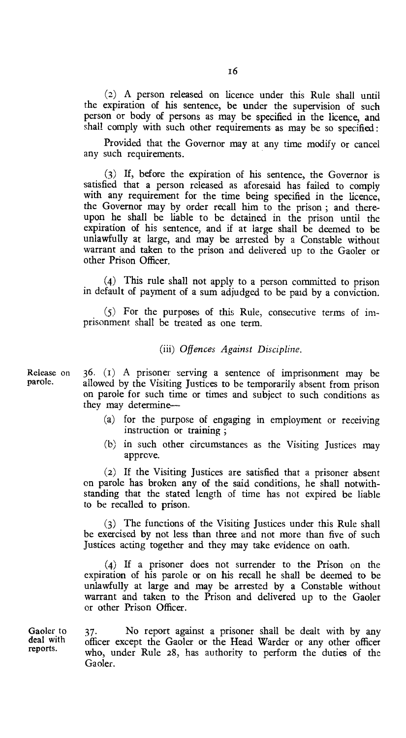(2) A person released on licence under this Rule shall until the expiration of his sentence, be under the supervision of such person or body of persons as may be specified in the licence, and shall comply with such other requirements as may be so specified :

Provided that the Governor may at any time modify or cancel any such requirements.

(3) If, before the expiration of his sentence, the Governor is satisfied that a person released as aforesaid has failed to comply with any requirement for the time being specified in the licence, the Governor may by order recall him to the prison ; and thereupon he shall be liable to be detained in the prison until the expiration of his sentence, and if at large shall be deemed to be unlawfully at large, and may be arrested by a Constable without warrant and taken to the prison and delivered up to the Gaoler or other Prison Officer.

(4) This rule shall not apply to a person committed to prison in default of payment of a sum adjudged to be paid by a conviction.

(5) For the purposes of this Rule, consecutive terms of imprisonment shall be treated as one term.

(iii) *Offences Against Discipline.* 

Release on  $36.$  (1) A prisoner serving a sentence of imprisonment may be parole. allowed by the Visiting Justices to be temporarily absent from prison allowed by the Visiting Justices to be temporarily absent from prison on parole for such time or times and subject to such conditions as they may determine—

- (a) for the purpose of engaging in employment or receiving instruction or training ;
- (b) in such other circumstances as the Visiting Justices may approve.

(2) If the Visiting Justices are satisfied that a prisoner absent on parole has broken any of the said conditions, he shall notwithstanding that the stated length of time has not expired be liable to be recalled to prison.

(3) The functions of the Visiting Justices under this Rule shall be exercised by not less than three and not more than five of such Justices acting together and they may take evidence on oath.

(4) If a prisoner does not surrender to the Prison on the expiration of his parole or on his recall he shall be deemed to be unlawfully at large and may be arrested by a Constable without warrant and taken to the Prison and delivered up to the Gaoler or other Prison Officer.

Gaoler to deal with reports.

37. No report against a prisoner shall be dealt with by any officer except the Gaoler or the Head Warder or any other officer who, under Rule 28, has authority to perform the duties of the Gaoler.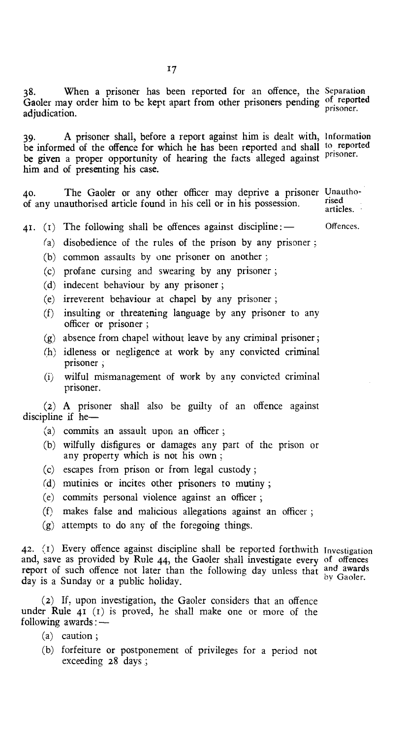38. When a prisoner has been reported for an offence, the Separation Gaoler may order him to be kept apart from other prisoners pending of reported adjudication. prisoner.

39. A prisoner shall, before a report against him is dealt with, Information be informed of the offence for which he has been reported and shall to reported be given a proper opportunity of hearing the facts alleged against <sup>prisoner</sup>. him and of presenting his case.

40. The Gaoler or any other officer may deprive a prisoner Unauthoof any unauthorised article found in his cell or in his possession. rised

articles. .

- 41. (1) The following shall be offences against discipline:  $-$ Offences.
	- (a) disobedience of the rules of the prison by any prisoner ;
	- (b) common assaults by one prisoner on another ;
	- (c) profane cursing and swearing by any prisoner ;
	- (d) indecent behaviour by any prisoner ;
	- (e) irreverent behaviour at chapel by any prisoner ;
	- (f) insulting or threatening language by any prisoner to any officer or prisoner ;
	- (g) absence from chapel without leave by any criminal prisoner ;
	- (h) idleness or negligence at work by any convicted criminal prisoner ,
	- (i) wilful mismanagement of work by any convicted criminal prisoner.

(2) A prisoner shall also be guilty of an offence against discipline if  $he$ —

- (a) commits an assault upon an officer ;
- (b) wilfully disfigures or damages any part of the prison or any property which is not his own ;
- (c) escapes from prison or from legal custody ;
- (d) mutinies or incites other prisoners to mutiny ;
- (e) commits personal violence against an officer ;
- (f) makes false and malicious allegations against an officer ;
- (g) attempts to do any of the foregoing things.

42. (r) Every offence against discipline shall be reported forthwith Investigation and, save as provided by Rule 44, the Gaoler shall investigate every of offences report of such offence not later than the following day unless that and awards day is a Sunday or a public holiday.

(2) If, upon investigation, the Gaoler considers that an offence under Rule 41 (t) is proved, he shall make one or more of the following awards :-

- (a) caution ;
- (b) forfeiture or postponement of privileges for a period not exceeding 28 days ;

by Gaoler.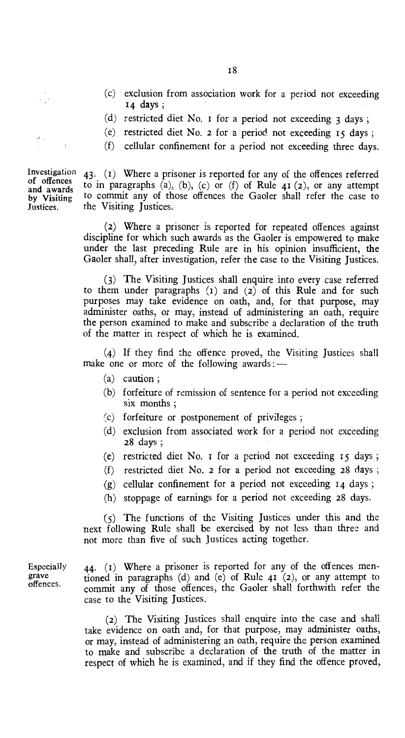- (c) exclusion from association work for a period not exceeding 14 days ;
- (d) restricted diet No. 1 for a period not exceeding  $3 \text{ days}$ ;
- (e) restricted diet No. 2 for a period, not exceeding 15 days ;
- (f) cellular confinement for a period not exceeding three days.

43. (i) Where a prisoner is reported for any of the offences referred to in paragraphs  $(a)$ ,  $(b)$ ,  $(c)$  or  $(f)$  of Rule  $41$   $(2)$ , or any attempt to commit any of those offences the Gaoler shall refer the case to the Visiting Justices.

(2) Where a prisoner is reported for repeated offences against discipline for which such awards as the Gaoler is empowered to make under the last preceding Rule are in his opinion insufficient, the Gaoler shall, after investigation, refer the case to the Visiting Justices.

(3) The Visiting Justices shall enquire into every case referred to them under paragraphs  $(1)$  and  $(2)$  of this Rule and for such purposes may take evidence on oath, and, for that purpose, may administer oaths, or may, instead of administering an oath, require the person examined to make and subscribe a declaration of the truth of the matter in respect of which he is examined.

(4) If they find the offence proved, the Visiting Justices shall make one or more of the following awards :  $-$ 

- (a) caution ;
- (b) forfeiture of remission of sentence for a period not exceeding six months ;
- (c) forfeiture or postponement of privileges ;
- (d) exclusion from associated work for a period not exceeding 28 days ;
- (e) restricted diet No. 1 for a period not exceeding 15 days ;
- (f) restricted diet No. 2 for a period not exceeding 28 days ;
- (g) cellular confinement for a period not exceeding  $I_4$  days;
- (h) stoppage of earnings for a period not exceeding 28 days.

(5) The functions of the Visiting Justices under this and the next following Rule shall be exercised by not less than three and not more than five of such justices acting together.

Especially grave offences.

44. (i) Where a prisoner is reported for any of the offences mentioned in paragraphs (d) and (e) of Rule  $41(2)$ , or any attempt to commit any of those offences, the Gaoler shall forthwith refer the case to the Visiting Justices.

(2) The Visiting Justices shall enquire into the case and shall take evidence on oath and, for that purpose, may administer oaths, or may, instead of administering an oath, require the person examined to make and subscribe a declaration of the truth of the matter in respect of which he is examined, and if they find the offence proved,

Investigation of offences and awards by Visiting Justices.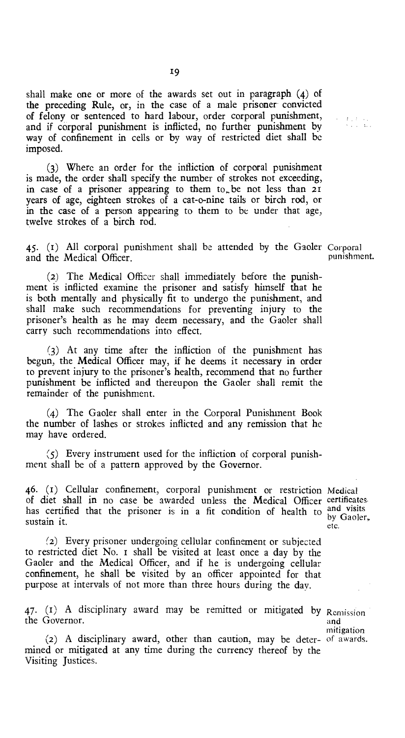shall make one or more of the awards set out in paragraph (4) of the preceding Rule, or, in the case of a male prisoner convicted of felony or sentenced to hard labour, order corporal punishment, and if corporal punishment is inflicted, no further punishment by way of confinement in cells or by way of restricted diet shall be imposed.

(3) Where an order for the infliction of corporal punishment is made, the order shall specify the number of strokes not exceeding, in case of a prisoner appearing to them  $to<sub>r</sub>$  be not less than 21 years of age, eighteen strokes of a cat-o-nine tails or birch rod, or in the case of a person appearing to them to be under that age, twelve strokes of a birch rod.

 $45.$  (1) All corporal punishment shall be attended by the Gaoler Corporal punishment. and the Medical Officer,

 $\begin{array}{ccc} T_{1,1} & T_{1,2} & \ldots \\ T_{2,2} & \ldots & T_{2,3} \end{array}$ 

(2) The Medical Officer shall immediately before the punishment is inflicted examine the prisoner and satisfy himself that he is both mentally and physically fit to undergo the punishment, and shall make such recommendations for preventing injury to the prisoner's health as he may deem necessary, and the Gaoler shall carry such recommendations into effect.

(3) At any time after the infliction of the punishment has begun, the Medical Officer may, if he deems it necessary in order to prevent injury to the prisoner's health, recommend that no further punishment be inflicted and thereupon the Gaoler shall remit the remainder of the punishment.

(4) The Gaoler shall enter in the Corporal Punishment Book the number of lashes or strokes inflicted and any remission that he may have ordered.

(5) Every instrument used for the infliction of corporal punishment shall be of a pattern approved by the Governor.

46. (r) Cellular confinement, corporal punishment or restriction Medical of diet shall in no case be awarded unless the Medical Officer certificates. has certified that the prisoner is in a fit condition of health to  $_{\text{hv}}^{\text{and visits}}$ sustain it.

by Gaoler, etc.

(2) Every prisoner undergoing cellular confinement or subjected to restricted diet No. r shall be visited at least once a day by the Gaoler and the Medical Officer, and if he is undergoing cellular confinement, he shall be visited by an officer appointed for that purpose at intervals of not more than three hours during the day.

 $47.$  (1) A disciplinary award may be remitted or mitigated by Remission the Governor.

and mitigation

(2) A disciplinary award, other than caution, may be deter-of awards. mined or mitigated at any time during the currency thereof by the Visiting Justices.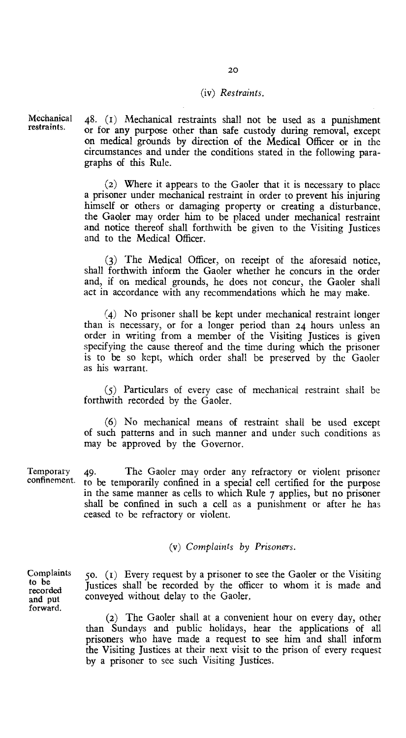#### (iv) *Restraints.*

Mechanical 48. (t) Mechanical restraints shall not be used as a punishment or for any purpose other than safe custody during removal, except on medical grounds by direction of the Medical Officer or in the circumstances and under the conditions stated in the following paragraphs of this Rule.

> (2) Where it appears to the Gaoler that it is necessary to place a prisoner under mechanical restraint in order to prevent his injuring himself or others or damaging property or creating a disturbance, the Gaoler may order him to be placed under mechanical restraint and notice thereof shall forthwith be given to the Visiting Justices and to the Medical Officer.

> (3) The Medical Officer, on receipt of the aforesaid notice, shall forthwith inform the Gaoler whether he concurs in the order and, if on medical grounds, he does not concur, the Gaoler shall act in accordance with any recommendations which he may make.

> (4) No prisoner shall be kept under mechanical restraint longer than is necessary, or for a longer period than 24 hours unless an order in writing from a member of the Visiting Justices is given specifying the cause thereof and the time during which the prisoner is to be so kept, which order shall be preserved by the Gaoler as his warrant.

> (5) Particulars of every case of mechanical restraint shall be forthwith recorded by the Gaoler.

> (6) No mechanical means of restraint shall be used except of such patterns and in such manner and under such conditions as may be approved by the Governor.

Temporary confinement. 49. The Gaoler may order any refractory or violent prisoner to be temporarily confined in a special cell certified for the purpose in the same manner as cells to which Rule 7 applies, but no prisoner shall be confined in such a cell as a punishment or after he has ceased to be refractory or violent.

*(v) Complaints by Prisoners.* 

Complaints to be recorded and put forward.

restraints.

5o. (1) Every request by a prisoner to see the Gaoler or the Visiting Justices shall be recorded by the officer to whom it is made and conveyed without delay to the Gaoler.

(2) The Gaoler shall at a convenient hour on every day, other than Sundays and public holidays, hear the applications of all prisoners who have made a request to see him and shall inform the Visiting Justices at their next visit to the prison of every request by a prisoner to see such Visiting Justices.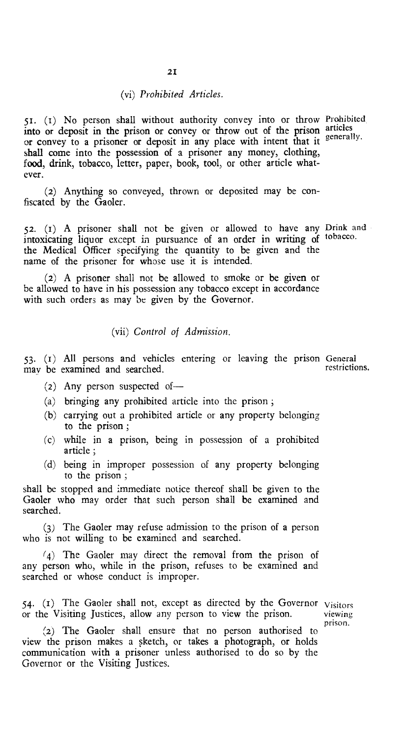#### *(vi) Prohibited Articles.*

51. (i) No person shall without authority convey into or throw Prohibited into or deposit in the prison or convey or throw out of the prison articles or convey to a prisoner or deposit in any place with intent that it generally. shall come into the possession of a prisoner any money, clothing, food, drink, tobacco, letter, paper, book, tool, or other article whatever.

(2) Anything so conveyed, thrown or deposited may be confiscated by the Gaoler.

52. (i) A prisoner shall not be given or allowed to have any Drink and intoxicating liquor except in pursuance of an order in writing of tobacco. the Medical Officer specifying the quantity to be given and the name of the prisoner for whose use it is intended.

(2) A prisoner shall not be allowed to smoke or be given or be allowed to have in his possession any tobacco except in accordance with such orders as may be given by the Governor.

#### *(vii) Control of Admission.*

 $53.$  (1) All persons and vehicles entering or leaving the prison General restrictions. may be examined and searched.

- (2) Any person suspected of—
- (a) bringing any prohibited article into the prison ;
- (b) carrying out a prohibited article or any property belonging to the prison ;
- (c) while in a prison, being in possession of a prohibited article ;
- (d) being in improper possession of any property belonging to the prison ;

shall be stopped and immediate notice thereof shall be given to the Gaoler who may order that such person shall be examined and searched.

(3) The Gaoler may refuse admission to the prison of a person who is not willing to be examined and searched.

(4) The Gaoler may direct the removal from the prison of any person who, while in the prison, refuses to be examined and searched or whose conduct is improper.

54. ( $I$ ) The Gaoler shall not, except as directed by the Governor  $V_{\text{isitors}}$  or the Visiting Justices, allow any person to view the prison. or the Visiting Justices, allow any person to view the prison.

prison.

(2) The Gaoler shall ensure that no person authorised to view the prison makes a sketch, or takes a photograph, or holds communication with a prisoner unless authorised to do so by the Governor or the Visiting Justices.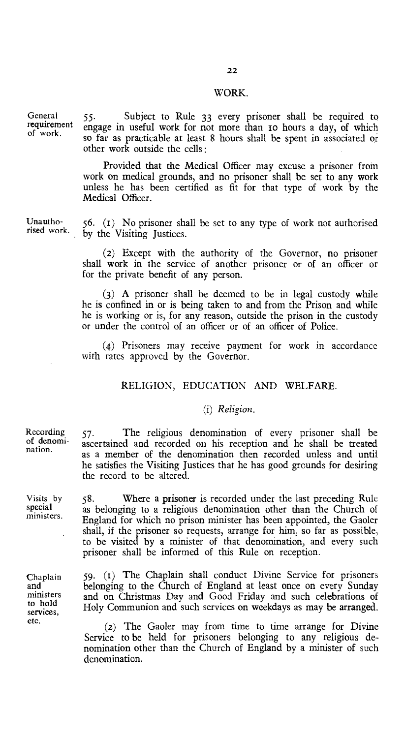#### WORK.

General requirement of work.

55. Subject to Rule 33 every prisoner shall be required to engage in useful work for not more than io hours a day, of which so far as practicable at least 8 hours shall be spent in associated or other work outside the cells :

Provided that the Medical Officer may excuse a prisoner from work on medical grounds, and no prisoner shall be set to any work unless he has been certified as fit for that type of work by the Medical Officer.

Unauthorised work.

56. (i) No prisoner shall be set to any type of work not authorised by the Visiting Justices.

(2) Except with the authority of the Governor, no prisoner shall work in the service of another prisoner or of an officer or for the private benefit of any person.

(3) A prisoner shall be deemed to be in legal custody while he is confined in or is being taken to and from the Prison and while he is working or is, for any reason, outside the prison in the custody or under the control of an officer or of an officer of Police.

(4) Prisoners may receive payment for work in accordance with rates approved by the Governor.

#### RELIGION, EDUCATION AND WELFARE.

#### *(i) Religion.*

57. The religious denomination of every prisoner shall be ascertained and recorded on his reception and he shall be treated as a member of the denomination then recorded unless and until he satisfies the Visiting Justices that he has good grounds for desiring the record to be altered.

58. Where a prisoner is recorded under the last preceding Rule as belonging to a religious denomination other than the Church of England for which no prison minister has been appointed, the Gaoler shall, if the prisoner so requests, arrange for him, so far as possible, to be visited by a minister of that denomination, and every such prisoner shall be informed of this Rule on reception.

59. (t) The Chaplain shall conduct Divine Service for prisoners belonging to the Church of England at least once on every Sunday and on Christmas Day and Good Friday and such celebrations of Holy Communion and such services on weekdays as may be arranged.

(2) The Gaoler may from time to time arrange for Divine Service to be held for prisoners belonging to any religious denomination other than the Church of England by a minister of such denomination.

Recording of denomination.

Visits by special ministers.

Chaplain and ministers to hold services, etc.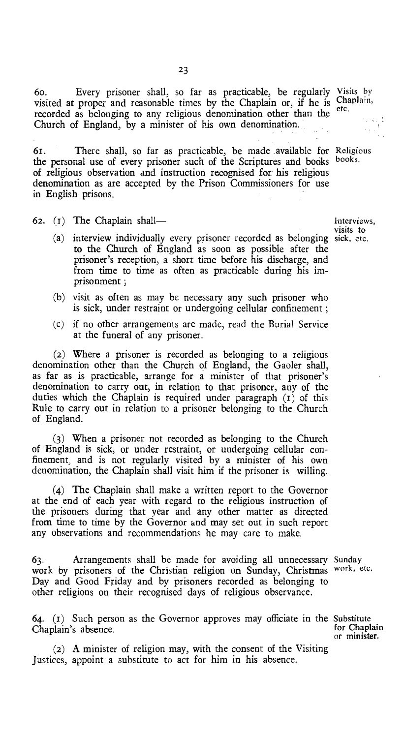6o. Every prisoner shall, so far as practicable, be regularly Visits by visited at proper and reasonable times by the Chaplain or, if he is Chaplain, recorded as belonging to any religious denomination other than the Church of England, by a minister of his own denomination.

61. There shall, so far as practicable, be made available for Religious the personal use of every prisoner such of the Scriptures and books books. the personal use of every prisoner such of the Scriptures and books of religious observation and instruction recognised for his religious denomination as are accepted by the Prison Commissioners for use in English prisons.

62. (1) The Chaplain shall— Interviews,

- (a) interview individually every prisoner recorded as belonging sick, etc. to the Church of England as soon as possible after the prisoner's reception, a short time before his discharge, and from time to time as often as practicable during his imprisonment ;
- (b) visit as often as may be necessary any such prisoner who is sick, under restraint or undergoing cellular confinement ;
- (c) if no other arrangements are made, read the Burial Service at the funeral of any prisoner.

(2) Where a prisoner is recorded as belonging to a religious denomination other than the Church of England, the Gaoler shall, as far as is practicable, arrange for a minister of that prisoner's denomination to carry out, in relation to that prisoner, any of the duties which the Chaplain is required under paragraph (t) of this Rule to carry out in relation to a prisoner belonging to the Church of England.

(3) When a prisoner not recorded as belonging to the Church of England is sick, or under restraint, or undergoing cellular confinement, and is not regularly visited by a minister of his own denomination, the Chaplain shall visit him if the prisoner is willing.

(4) The Chaplain shall make a written report to the Governor at the end of each year with regard to the religious instruction of the prisoners during that year and any other matter as directed from time to time by the Governor and may set out in such report any observations and recommendations he may care to make.

63. Arrangements shall be made for avoiding all unnecessary Sunday work by prisoners of the Christian religion on Sunday, Christmas work, etc. Day and Good Friday and by prisoners recorded as belonging to other religions on their recognised days of religious observance.

64. ( $I$ ) Such person as the Governor approves may officiate in the Substitute Chaplain's absence Chaplain's absence.

(2) A minister of religion may, with the consent of the Visiting Justices, appoint a substitute to act for him in his absence.

visits to

or minister.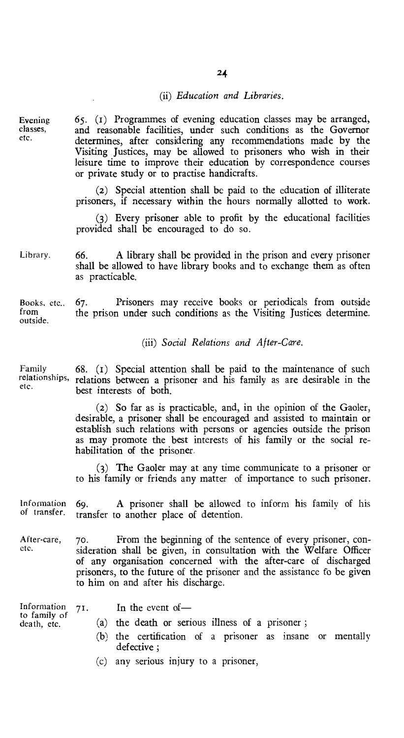#### (ii) *Education and Libraries.*

Evening classes, etc.

65. (f) Programmes of evening education classes may be arranged, and reasonable facilities, under such conditions as the Governor determines, after considering any recommendations made by the Visiting Justices, may be allowed to prisoners who wish in their leisure time to improve their education by correspondence courses or private study or to practise handicrafts.

(2) Special attention shall be paid to the education of illiterate prisoners, if necessary within the hours normally allotted to work.

(3) Every prisoner able to profit by the educational facilities provided shall be encouraged to do so.

Library. 66. A library shall be provided in the prison and every prisoner shall be allowed to have library books and to exchange them as often as practicable.

Books, etc.. 67. Prisoners may receive books or periodicals from outside the prison under such conditions as the Visiting Justices determine. outside.

#### *(iii) Social Relations and After-Care.*

Family relationships, etc.

68. (i) Special attention shall be paid to the maintenance of such relations between a prisoner and his family as are desirable in the best interests of both.

> (2) So far as is practicable, and, in the opinion of the Gaoler, desirable, a prisoner shall be encouraged and assisted to maintain or establish such relations with persons or agencies outside the prison as may promote the best interests of his family or the social rehabilitation of the prisoner.

> (3) The Gaoler may at any time communicate to a prisoner or to his family or friends any matter of importance to such prisoner.

Information 69. A prisoner shall be allowed to inform his family of his<br>of transfer. transfer to another place of detention transfer to another place of detention.

After-care, 70. From the beginning of the sentence of every prisoner, con-<br>etc. sideration shall be given in consultation with the Welfare Officer sideration shall be given, in consultation with the Welfare Officer of any organisation concerned with the after-care of discharged prisoners, to the future of the prisoner and the assistance fo be given to him on and after his discharge.

Information 71. In the event of—

to family of death, etc.

- 
- (a) the death or serious illness of a prisoner ;
	- (b) the certification of a prisoner as insane or mentally defective ;
	- (c) any serious injury to a prisoner,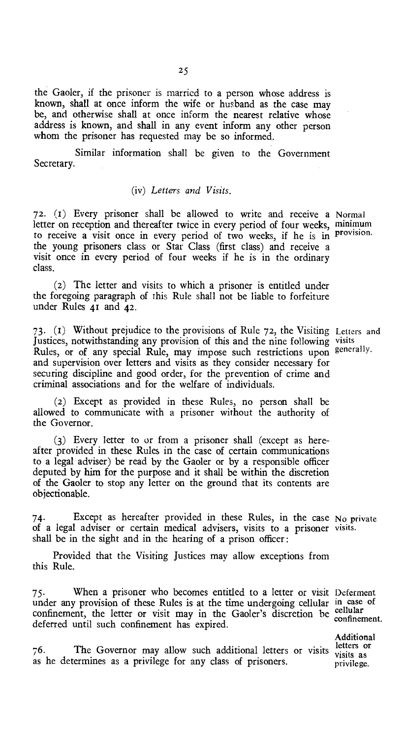the Gaoler, if the prisoner is married to a person whose address is known, shall at once inform the wife or husband as the case may be, and otherwise shall at once inform the nearest relative whose address is known, and shall in any event inform any other person whom the prisoner has requested may be so informed.

Similar information shall be given to the Government Secretary.

#### *(iv) Letters and Visits.*

72. (1) Every prisoner shall be allowed to write and receive a Normal letter on reception and thereafter twice in every period of four weeks, minimum to receive a visit once in every period of two weeks, if he is in provision. the young prisoners class or Star Class (first class) and receive a visit once in every period of four weeks if he is in the ordinary class.

(2) The letter and visits to which a prisoner is entitled under the foregoing paragraph of this Rule shall not be liable to forfeiture under Rules 41 and 42.

73. (i) Without prejudice to the provisions of Rule 72, the Visiting Letters and Justices, notwithstanding any provision of this and the nine following visits Rules, or of any special Rule, may impose such restrictions upon generally. and supervision over letters and visits as they consider necessary for securing discipline and good order, for the prevention of crime and criminal associations and for the welfare of individuals.

(2) Except as provided in these Rules, no person shall be allowed to communicate with a prisoner without the authority of the Governor.

(3) Every letter to or from a prisoner shall (except as hereafter provided in these Rules in the case of certain communications to a legal adviser) be read by the Gaoler or by a responsible officer deputed by him for the purpose and it shall be within the discretion of the Gaoler to stop any letter on the ground that its contents are objectionable.

74. Except as hereafter provided in these Rules, in the case No private of a legal adviser or certain medical advisers, visits to a prisoner visits. shall be in the sight and in the hearing of a prison officer :

Provided that the Visiting Justices may allow exceptions from this Rule.

75. When a prisoner who becomes entitled to a letter or visit Deferment under any provision of these Rules is at the time undergoing cellular in case of confinement, the letter or visit may in the Gaoler's discretion be cellular deferred until such confinement has expired.

76. The Governor may allow such additional letters or visits  $\frac{\text{letters}}{\text{visits}}$  as as he determines as a privilege for any class of prisoners. Additional visits as privilege.

confinement.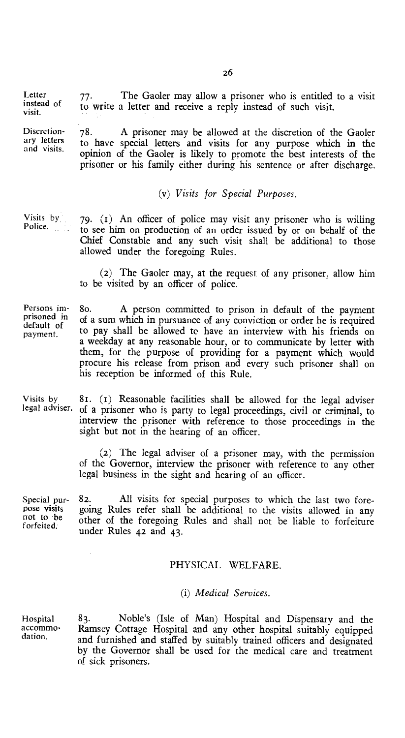Letter  $77$ . The Gaoler may allow a prisoner who is entitled to a visit instead of  $\frac{1}{2}$  to write a letter and receive a reply instead of such visit instead of to write a letter and receive a reply instead of such visit.

Discretion-<br>
The May are the Discretion of the Gaoler<br>
The Same of the Same of the Same of the Same of the Same of the Same of the Same of the Same of the Same of the Same of the Same of the Same of the Same of the Same of ary letters to have special letters and visits for any purpose which in the and visits. opinion of the Gaoler is likely to promote the best interests of the prisoner or his family either during his sentence or after discharge.

#### *(v) Visits* for *Special Purposes.*

Visits by Police. 79. (1) An officer of police may visit any prisoner who is willing to see him on production of an order issued by or on behalf of the Chief Constable and any such visit shall be additional to those allowed under the foregoing Rules.

> (2) The Gaoler may, at the request of any prisoner, allow him to be visited by an officer of police.

Persons imprisoned in default of payment. 80. A person committed to prison in default of the payment of a sum which in pursuance of any conviction or order he is required to pay shall be allowed to have an interview with his friends on a weekday at any reasonable hour, or to communicate by letter with them, for the purpose of providing for a payment which would procure his release from prison and every such prisoner shall on his reception be informed of this Rule.

Visits by legal adviser. 8t. (t) Reasonable facilities shall be allowed for the legal adviser of a prisoner who is party to legal proceedings, civil or criminal, to interview the prisoner with reference to those proceedings in the sight but not in the hearing of an officer.

> (2) The legal adviser of a prisoner may, with the permission of the Governor, interview the prisoner with reference to any other legal business in the sight and hearing of an officer.

Special pur- 82. All visits for special purposes to which the last two fore-<br>pose visits spoing Rules refer shall be additional to the visits allowed in any pose visits going Rules refer shall be additional to the visits allowed in any not to be other of the foregoing Pulse and shall not be liable to fortaining not to be other of the foregoing Rules and shall not be liable to forfeiture under Rules 42 and 43.

#### PHYSICAL WELFARE.

#### *(i) Medical Services.*

Hospital 83. Noble's (Isle of Man) Hospital and Dispensary and the accommo-<br>dation. and furnished and staffed by suitably trained effects and distributed and furnished and staffed by suitably trained officers and designated by the Governor shall be used for the medical care and treatment of sick prisoners.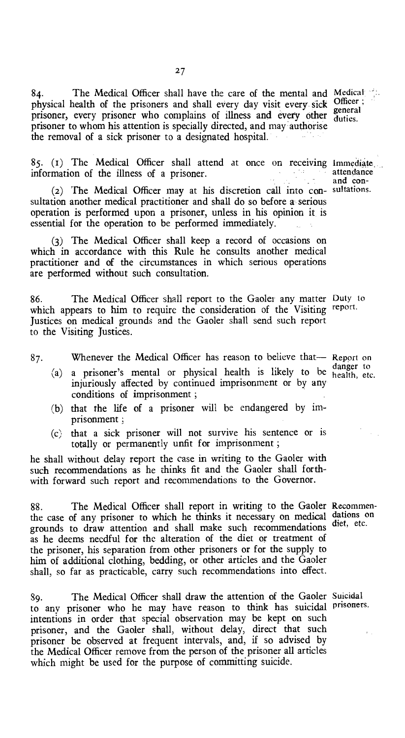84. The Medical Officer shall have the care of the mental and Medical physical health of the prisoners and shall every day visit every sick prisoner, every prisoner who complains of Illness and every other prisoner to whom his attention is specially directed, and may authorise the removal of a sick prisoner to a designated hospital. Officer ;

 $85.$  (1) The Medical Officer shall attend at once on receiving immediate, , information of the illness of a prisoner. information of the illness of a prisoner.

(2) The Medical Officer may at his discretion call into con- sultations. sultation another medical practitioner and shall do so before a serious operation is performed upon a prisoner, unless in his opinion it is essential for the operation to be performed immediately.

(3) The Medical Officer shall keep a record of occasions on which in accordance with this Rule he consults another medical practitioner and of the circumstances in which serious operations are performed without such consultation.

86. The Medical Officer shall report to the Gaoler any matter Duty to which appears to him to require the consideration of the Visiting report. Justices on medical grounds and the Gaoler shall send such report to the Visiting Justices.

87. Whenever the Medical Officer has reason to believe that— Report on

- (a) a prisoner's mental or physical health is likely to be danger to injuriously affected by continued imprisonment or by any conditions of imprisonment ;
- (b) that the life of a prisoner will be endangered by imprisonment ;
- (c) that a sick prisoner will not survive his sentence or is totally or permanently unfit for imprisonment ;

he shall without delay report the case in writing to the Gaoler with such recommendations as he thinks fit and the Gaoler shall forthwith forward such report and recommendations to the Governor.

88. The Medical Officer shall report in writing to the Gaoler Recommenthe case of any prisoner to which he thinks it necessary on medical dations on grounds to draw attention and shall make such recommendations as he deems needful for the alteration of the diet or treatment of the prisoner, his separation from other prisoners or for the supply to him of additional clothing, bedding, or other articles and the Gaoler shall, so far as practicable, carry such recommendations into effect.

89. The Medical Officer shall draw the attention of the Gaoler Suicidal to any prisoner who he may have reason to think has suicidal prisoners. intentions in order that special observation may be kept on such prisoner, and the Gaoler shall, without delay, direct that such prisoner be observed at frequent intervals, and, if so advised by the Medical Officer remove from the person of the prisoner all articles which might be used for the purpose of committing suicide.

and con-

27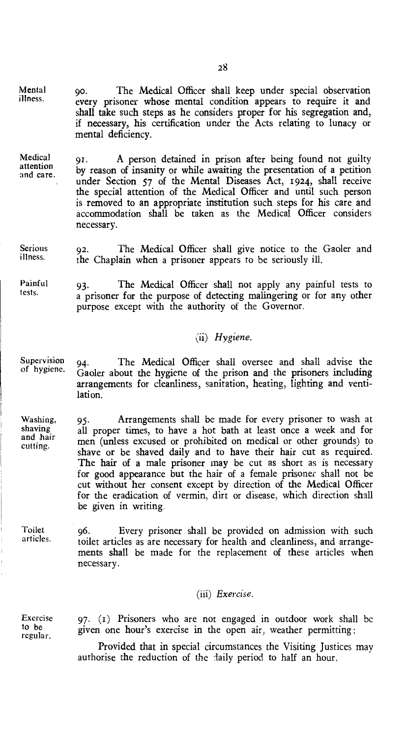9o. The Medical Officer shall keep under special observation every prisoner whose mental condition appears to require it and shall take such steps as he considers proper for his segregation and, if necessary, his certification under the Acts relating to lunacy or mental deficiency.

Medical attention and care. 91. A person detained in prison after being found not guilty by reason of insanity or while awaiting the presentation of a petition under Section 57 of the Mental Diseases Act, 1924, shall receive the special attention of the Medical Officer and until such person is removed to an appropriate institution such steps for his care and accommodation shall be taken as the Medical Officer considers necessary.

Serious illness. 92. The Medical Officer shall give notice to the Gaoler and the Chaplain when a prisoner appears to be seriously ill.

Painful tests. 93. The Medical Officer shall not apply any painful tests to a prisoner for the purpose of detecting malingering or for any other purpose except with the authority of the Governor.

#### *(ii) Hygiene.*

Supervision of hygiene. 94. The Medical Officer shall oversee and shall advise the Gaoler about the hygiene of the prison and the prisoners including arrangements for cleanliness, sanitation, heating, lighting and ventilation.

Washing, shaving and hair cutting. 95. Arrangements shall be made for every prisoner to wash at all proper times, to have a hot bath at least once a week and for men (unless excused or prohibited on medical or other grounds) to shave or be shaved daily and to have their hair cut as required. The hair of a male prisoner may be cut as short as is necessary for good appearance but the hair of a female prisoner shall not be cut without her consent except by direction of the Medical Officer for the eradication of vermin, dirt or disease, which direction shall be given in writing.

Toilet articles. 96. Every prisoner shall be provided on admission with such toilet articles as are necessary for health and cleanliness, and arrangements shall be made for the replacement of these articles when necessary.

#### *(iii) Exercise.*

Exercise to be regular.

Mental illness.

> 97. (i) Prisoners who are not engaged in outdoor work shall be given one hour's exercise in the open air, weather permitting :

> Provided that in special circumstances the Visiting Justices may authorise the reduction of the daily period to half an hour.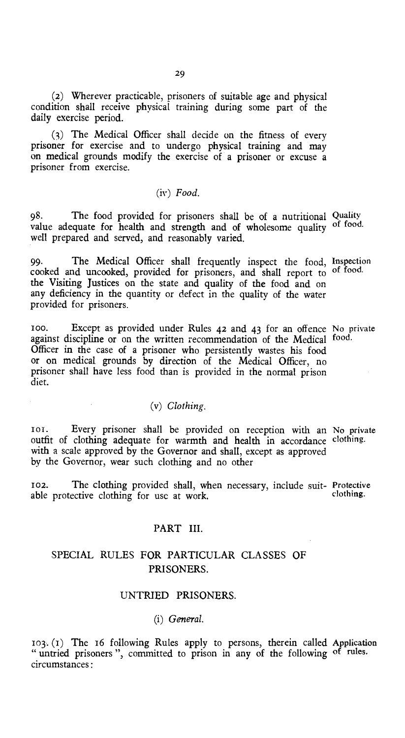(2) Wherever practicable, prisoners of suitable age and physical condition shall receive physical training during some part of the daily exercise period.

(3) The Medical Officer shall decide on the fitness of every prisoner for exercise and to undergo physical training and may on medical grounds modify the exercise of a prisoner or excuse a prisoner from exercise.

#### *(iv) Food.*

98. The food provided for prisoners shall be of a nutritional Quality value adequate for health and strength and of wholesome quality of food. well prepared and served, and reasonably varied.

99. The Medical Officer shall frequently inspect the food, Inspection cooked and uncooked, provided for prisoners, and shall report to of food. the Visiting Justices on the state and quality of the food and on any deficiency in the quantity or defect in the quality of the water provided for prisoners.

100. Except as provided under Rules 42 and 43 for an offence No private against discipline or on the written recommendation of the Medical food. Officer in the case of a prisoner who persistently wastes his food or on medical grounds by direction of the Medical Officer, no prisoner shall have less food than is provided in the normal prison diet.

#### *(v) Clothing.*

ioi. Every prisoner shall be provided on reception with an No private outfit of clothing adequate for warmth and health in accordance clothing. with a scale approved by the Governor and shall, except as approved by the Governor, wear such clothing and no other

102. The clothing provided shall, when necessary, include suit- Protective able protective clothing for use at work.

#### PART III.

#### SPECIAL RULES FOR PARTICULAR CLASSES OF PRISONERS.

#### UNTRIED PRISONERS.

*(i) General.* 

103. (i) The 16 following Rules apply to persons, therein called Application " untried prisoners", committed to prison in any of the following of rules. circumstances: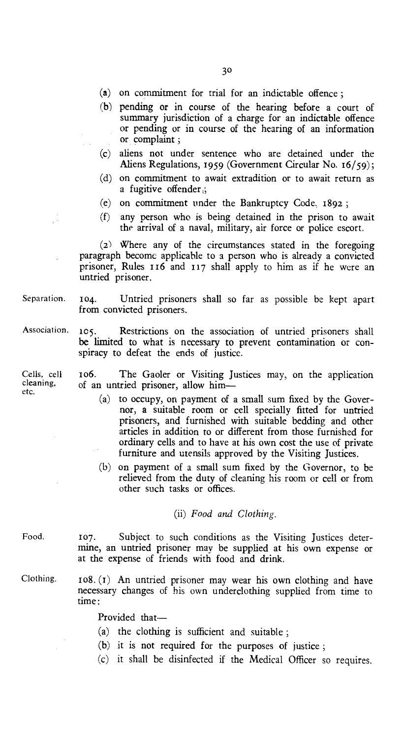- (a) on commitment for trial for an indictable offence ;
- (b) pending or in course of the hearing before a court of summary jurisdiction of a charge for an indictable offence or pending or in course of the hearing of an information or complaint ;
- (c) aliens not under sentence who are detained under the Aliens Regulations, 1959 (Government Circular No. 16/59);
- (d) on commitment to await extradition or to await return as a fugitive offender ;
- (e) on commitment under the Bankruptcy Code. 1892 ;
- (f) any person who is being detained in the prison to await the arrival of a naval, military, air force or police escort.

(2) Where any of the circumstances stated in the foregoing paragraph become applicable to a person who is already a convicted prisoner, Rules 116 and 117 shall apply to him as if he were an untried prisoner.

Separation. 104. Untried prisoners shall so far as possible be kept apart from convicted prisoners.

105. Restrictions on the association of untried prisoners shall be limited to what is necessary to prevent contamination or conspiracy to defeat the ends of justice. Association.

Cells, cell 106. The Gaoler or Visiting Justices may, on the application cleaning, of an untried prisoner allow him of an untried prisoner, allow him—

- (a) to occupy, on payment of a small sum fixed by the Governor, a suitable room or cell specially fitted for untried prisoners, and furnished with suitable bedding and other articles in addition to or different from those furnished for ordinary cells and to have at his own cost the use of private furniture and utensils approved by the Visiting Justices.
- (b) on payment of a small sum fixed by the Governor, to be relieved from the duty of cleaning his room or cell or from other such tasks or offices.

*(ii) Food and Clothing.* 

- Food. 107. Subject to such conditions as the Visiting Justices determine, an untried prisoner may be supplied at his own expense or at the expense of friends with food and drink.
- Clothing.  $108. (1)$  An untried prisoner may wear his own clothing and have necessary changes of his own underclothing supplied from time to time:

Provided that—

- (a) the clothing is sufficient and suitable ;
- (b) it is not required for the purposes of justice ;
- (c) it shall be disinfected if the Medical Officer so requires.

etc.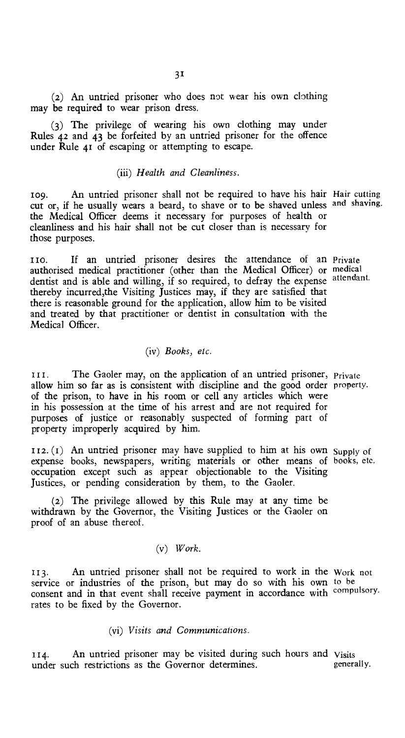(2) An untried prisoner who does not wear his own clothing may be required to wear prison dress.

(3) The privilege of wearing his own clothing may under Rules 42 and 43 be forfeited by an untried prisoner for the offence under Rule 41 of escaping or attempting to escape.

#### *(iii) Health and Cleanliness.*

109. An untried prisoner shall not be required to have his hair Hair cutting cut or, if he usually wears a beard, to shave or to be shaved unless and shaving. the Medical Officer deems it necessary for purposes of health or cleanliness and his hair shall not be cut closer than is necessary for those purposes.

110. If an untried prisoner desires the attendance of an Private authorised medical practitioner (other than the Medical Officer) or medical dentist and is able and willing, if so required, to defray the expense attendant. thereby incurred,the Visiting Justices may, if they are satisfied that there is reasonable ground for the application, allow him to be visited and treated by that practitioner or dentist in consultation with the Medical Officer.

#### *(iv) Books, etc.*

111. The Gaoler may, on the application of an untried prisoner, Private allow him so far as is consistent with discipline and the good order property. of the prison, to have in his room or cell any articles which were in his possession at the time of his arrest and are not required for purposes of justice or reasonably suspected of forming part of property improperly acquired by him.

112. (1) An untried prisoner may have supplied to him at his own I.12. (1) An untried prisoner may have supplied to him at his own Supply of expense books, newspapers, writing materials or other means of books, etc. occupation except such as appear objectionable to the Visiting Justices, or pending consideration by them, to the Gaoler.

(2) The privilege allowed by this Rule may at any time be withdrawn by the Governor, the Visiting Justices or the Gaoler on proof of an abuse thereof.

#### *(v) Work.*

113. An untried prisoner shall not be required to work in the Work not service or industries of the prison, but may do so with his own to be consent and in that event shall receive payment in accordance with compulsory. rates to be fixed by the Governor.

*(vi) Visits and Communications.* 

114. An untried prisoner may be visited during such hours and Visits<br>under such restrictions as the Governor determines. under such restrictions as the Governor determines.

books, etc.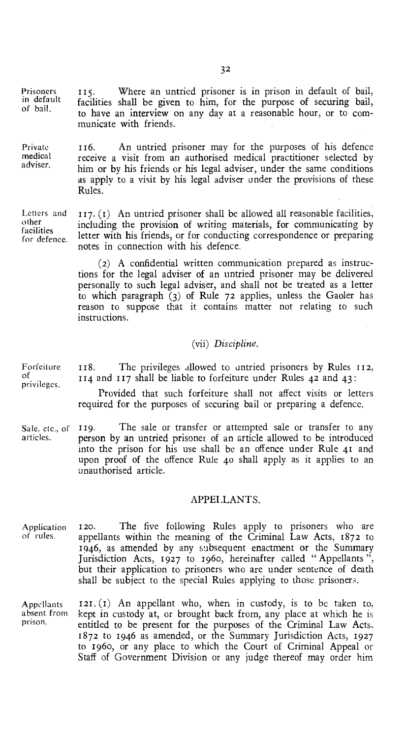Prisoners 115. Where an untried prisoner is in prison in default of bail,<br>in default facilities shall be given to him for the purpose of securing bail in default facilities shall be given to him, for the purpose of securing bail, of bail. to have an interview on any day at a reasonable hour, or to com-

municate with friends.

Private 116. An untried prisoner may for the purposes of his defence medical receive a visit from an authorised medical practitioner selected by adviser. him or by his friends or his legal adviser, under the same conditions as apply to a visit by his legal adviser under the provisions of these Rules.

Letters and other facilities for defence.  $117. (I)$  An untried prisoner shall be allowed all reasonable facilities, including the provision of writing materials, for communicating by letter with his friends, or for conducting correspondence or preparing notes in connection with his defence.

> (2) A confidential written communication prepared as instructions for the legal adviser of an untried prisoner may be delivered personally to such legal adviser, and shall not be treated as a letter to which paragraph (3) of Rule 72 applies, unless the Gaoler has reason to suppose that it contains matter not relating to such instructions.

#### *(vii) Discipline.*

privileges. 118. The privileges allowed to untried prisoners by Rules 112, 114 and 117 shall be liable to forfeiture under Rules 42 and 43:

Provided that such forfeiture shall not affect visits or letters required for the purposes of securing bail or preparing a defence.

Sale, etc., of 119. The sale or transfer or attempted sale or transfer to any articles. person by an untried prisoner of an article allowed to be introduced person by an untried prisoner of an article allowed to be introduced into the prison for his use shall be an offence under Rule 41 and upon proof of the offence Rule 4o shall apply as it applies to an unauthorised article.

#### APPEI.LANTS.

Application 120. The five following Rules apply to prisoners who are of rules. appellants within the meaning of the Criminal Law Acts, 1872 to 1946, as amended by any subsequent enactment or the Summary Jurisdiction Acts, 1927 to 1960, hereinafter called "Appellants", but their application to prisoners who are under sentence of death shall be subject to the special Rules applying to those prisoners.

Appellants absent from prison.  $121. (1)$  An appellant who, when in custody, is to be taken to, kept in custody at, or brought back from, any place at which he is entitled to be present for the purposes of the Criminal Law Acts, 1872 to 1946 as amended, or the Summary Jurisdiction Acts, 1927 to 196o, or any place to which the Court of Criminal Appeal or Staff of Government Division or any judge thereof may order him

Forfeiture of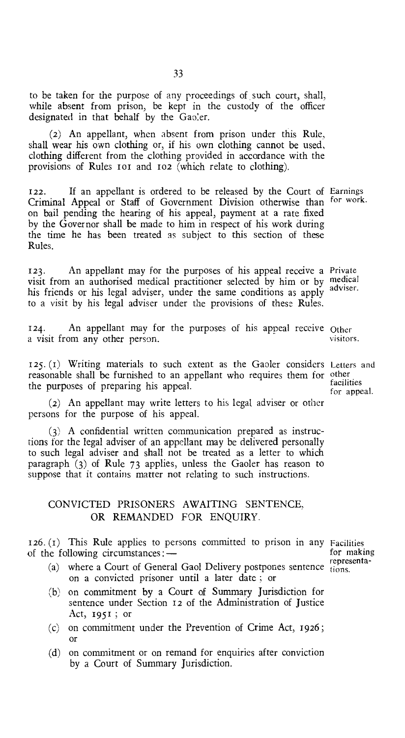to be taken for the purpose of any proceedings of such court, shall, while absent from prison, be kept in the custody of the officer designated in that behalf by the Gaoler.

(2) An appellant, when absent from prison under this Rule, shall wear his own clothing or, if his own clothing cannot be used, clothing different from the clothing provided in accordance with the provisions of Rules rot and 102 (which relate to clothing).

122. If an appellant is ordered to be released by the Court of Earnings Criminal Appeal or Staff of Government Division otherwise than for work. on bail pending the hearing of his appeal, payment at a rate fixed by the Governor shall be made to him in respect of his work during the time he has been treated as subject to this section of these Rules.

123. An appellant may for the purposes of his appeal receive a Private visit from an authorised medical practitioner selected by him or by medical Also from an additional invariant problems of section by thin or by adviser. to a visit by his legal adviser under the provisions of these Rules.

124. An appellant may for the purposes of his appeal receive Other<br>a visit from any other person a visit from any other person.

125. (r) Writing materials to such extent as the Gaoler considers Letters and reasonable shall be furnished to an appellant who requires them for other the purposes of preparing his appeal.

(2) An appellant may write letters to his legal adviser or other persons for the purpose of his appeal.

(3) A confidential written communication prepared as instructions for the legal adviser of an appellant may be delivered personally to such legal adviser and shall not be treated as a letter to which paragraph (3) of Rule 73 applies, unless the Gaoler has reason to suppose that it contains matter not relating to such instructions.

#### CONVICTED PRISONERS AWAITING SENTENCE, OR REMANDED FOR ENQUIRY.

 $126. (t)$  This Rule applies to persons committed to prison in any Facilities of the following circumstances: of the following circumstances: $-$ 

- (a) where a Court of General Gaol Delivery postpones sentence  $\frac{1}{1000}$ on a convicted prisoner until a later date ; or
- (b) on commitment by a Court of Summary Jurisdiction for sentence under Section 12 of the Administration of Justice Act, 1951 ; or
- (c) on commitment under the Prevention of Crime Act, 1926; or
- (d) on commitment or on remand for enquiries after conviction by a Court of Summary Jurisdiction.

representa-

facilities for appeal.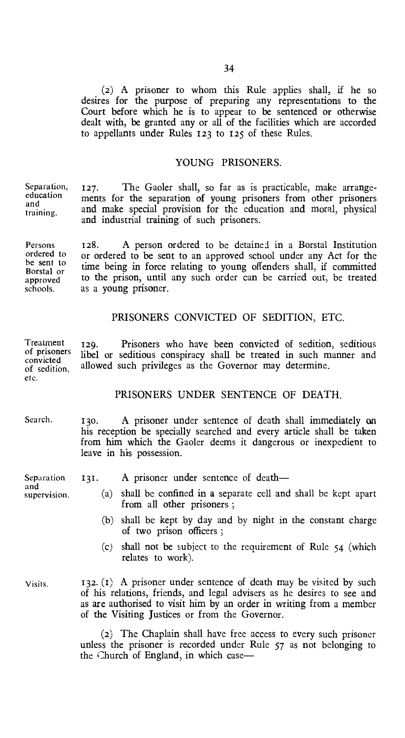(2) A prisoner to whom this Rule applies shall, if he so desires for the purpose of preparing any representations to the Court before which he is to appear to be sentenced or otherwise dealt with, be granted any or all of the facilities which are accorded to appellants under Rules 123 to 125 of these Rules.

#### YOUNG PRISONERS.

Separation, education and training.

127. The Gaoler shall, so far as is practicable, make arrangements for the separation of young prisoners from other prisoners and make special provision for the education and moral, physical and industrial training of such prisoners.

Persons ordered to be sent to Borstal or approved schools. 128. A person ordered to be detained in a Borstal Institution or ordered to be sent to an approved school under any Act for the time being in force relating to young offenders shall, if committed to the prison, until any such order can be carried out, be treated as a young prisoner.

#### PRISONERS CONVICTED OF SEDITION, ETC.

Treatment of prisoners convicted of sedition, etc. 129. Prisoners who have been convicted of sedition, seditious libel or seditious conspiracy shall be treated in such manner and allowed such privileges as the Governor may determine.

#### PRISONERS UNDER SENTENCE OF DEATH.

- Search. 130. A prisoner under sentence of death shall immediately on his reception be specially searched and every article shall be taken from him which the Gaoler deems it dangerous or inexpedient to leave in his possession.
- Separation 131. A prisoner under sentence of death—

and<br>supervision.

- (a) shall be confined in a separate cell and shall be kept apart from all other prisoners ;
- (b) shall be kept by day and by night in the constant charge of two prison officers ;
- (c) shall not be subject to the requirement of Rule 54 (which relates to work).

Visits. 132. (1) A prisoner under sentence of death may be visited by such of his relations, friends, and legal advisers as he desires to see and as are authorised to visit him by an order in writing from a member of the Visiting Justices or from the Governor.

> (2) The Chaplain shall have free access to every such prisoner unless the prisoner is recorded under Rule 57 as not belonging to the Church of England, in which case-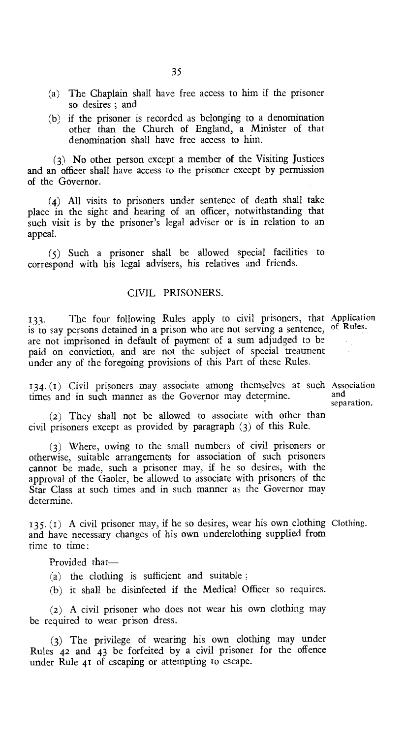- (a) The Chaplain shall have free access to him if the prisoner so desires ; and
- (b) if the prisoner is recorded as belonging to a denomination other than the Church of England, a Minister of that denomination shall have free access to him.

(3) No other person except a member of the Visiting Justices and an officer shall have access to the prisoner except by permission of the Governor.

(4) All visits to prisoners under sentence of death shall take place in the sight and hearing of an officer, notwithstanding that such visit is by the prisoner's legal adviser or is in relation to an appeal.

(5) Such a prisoner shall be allowed special facilities to correspond with his legal advisers, his relatives and friends.

#### CIVIL PRISONERS.

133. The four following Rules apply to civil prisoners, that Application is to say persons detained in a prison who are not serving a sentence, of Rules. are not imprisoned in default of payment of a sum adjudged to be paid on conviction, and are not the subject of special treatment under any of the foregoing provisions of this Part of these Rules.

134. (1) Civil prisoners may associate among themselves at such Association times and in such manner as the Governor may determine.

(2) They shall not be allowed to associate with other than civil prisoners except as provided by paragraph (3) of this Rule.

(3) Where, owing to the small numbers of civil prisoners or otherwise, suitable arrangements for association of such prisoners cannot be made, such a prisoner may, if he so desires, with the approval of the Gaoler, be allowed to associate with prisoners of the Star Class at such times and in such manner as the Governor may determine.

135. (t) A civil prisoner may, if he so desires, wear his own clothing Clothing. and have necessary changes of his own underclothing supplied from time to time :

Provided that—

- (a) the clothing is sufficient and suitable ;
- (h) it shall be disinfected if the Medical Officer so requires.

(2) A civil prisoner who does not wear his own clothing may be required to wear prison dress.

(3) The privilege of wearing his own clothing may under Rules 42 and 43 be forfeited by a civil prisoner for the offence under Rule 41 of escaping or attempting to escape.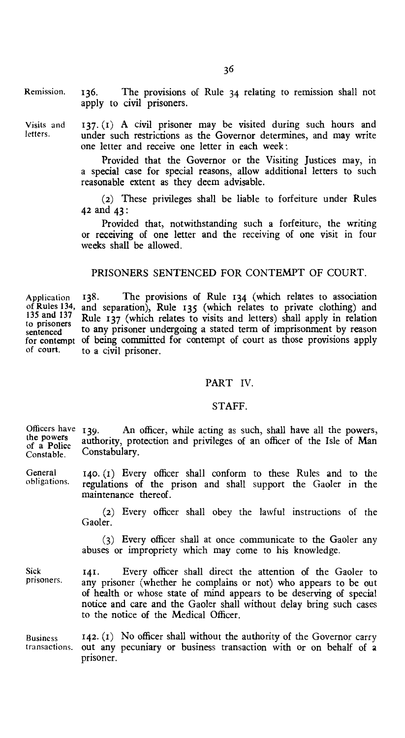Remission. 136. The provisions of Rule 34 relating to remission shall not apply to civil prisoners.

Visits and  $137. (1)$  A civil prisoner may be visited during such hours and letters. under such restrictions as the Governor determines, and may write one letter and receive one letter in each week :

> Provided that the Governor or the Visiting Justices may, in a special case for special reasons, allow additional letters to such reasonable extent as they deem advisable.

> (2) These privileges shall be liable to forfeiture under Rules 42 and 43 :

> Provided that, notwithstanding such a forfeiture, the writing or receiving of one letter and the receiving of one visit in four weeks shall be allowed.

#### PRISONERS SENTENCED FOR CONTEMPT OF COURT.

Application of Rules 134, 135 and 137 to prisoners sentenced for contempt of court. 138. The provisions of Rule 134 (which relates to association and separation), Rule 135 (which relates to private clothing) and Rule 137 (which relates to visits and letters) shall apply in relation to any prisoner undergoing a stated term of imprisonment by reason of being committed for contempt of court as those provisions apply to a civil prisoner.

#### PART IV.

#### STAFF.

Officers have  $139$ . the powers of a Police Constable. An officer, while acting as such, shall have all the powers, authority, protection and privileges of an officer of the Isle of Man Constabulary.

General obligations. 140. (I) Every officer shall conform to these Rules and to the regulations of the prison and shall support the Gaoler in the maintenance thereof.

> (2) Every officer shall obey the lawful instructions of the Gaoler.

> (3) Every officer shall at once communicate to the Gaoler any abuses or impropriety which may come to his knowledge.

Sick prisoners. 141. Every officer shall direct the attention of the Gaoler to any prisoner (whether he complains or not) who appears to be out of health or whose state of mind appears to be deserving of special notice and care and the Gaoler shall without delay bring such cases to the notice of the Medical Officer.

Business transactions. 142. (I) No officer shall without the authority of the Governor carry out any pecuniary or business transaction with or on behalf of a prisoner.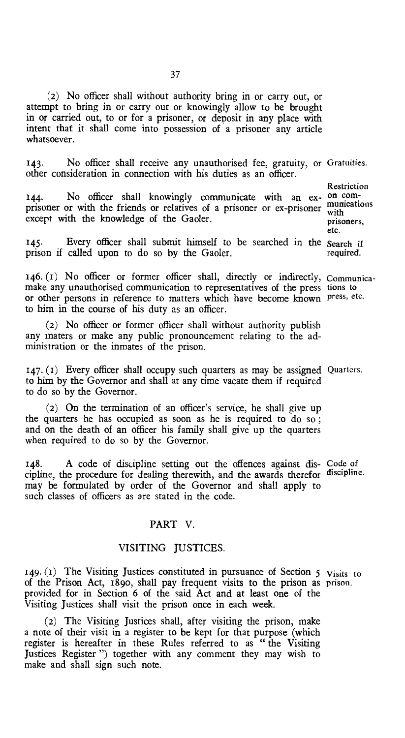(2) No officer shall without authority bring in or carry out, or attempt to bring in or carry out or knowingly allow to be brought in or carried out, to or for a prisoner, or deposit in any place with intent that it shall come into possession of a prisoner any article whatsoever.

143. No officer shall receive any unauthorised fee, gratuity, or Gratuities. other consideration in connection with his duties as an officer.

144. No officer shall knowingly communicate with an ex- on comprisoner or with the friends or relatives of a prisoner or ex-prisoner  $\frac{m}{\text{with}}$ except with the knowledge of the Gaoler.

145. Every officer shall submit himself to be searched in the Search if 145. Every officer shall submit himself to prison if called upon to do so by the Gaoler.

146. (i) No officer or former officer shall, directly or indirectly, Communicamake any unauthorised communication to representatives of the press tions to or other persons in reference to matters which have become known press, etc. to him in the course of his duty as an officer.

(2) No officer or former officer shall without authority publish any maters or make any public pronouncement relating to the administration or the inmates of the prison.

147. (f) Every officer shall occupy such quarters as may be assigned Quarters. to him by the Governor and shall at any time vacate them if required to do so by the Governor.

(2) On the termination of an officer's service, he shall give up the quarters he has occupied as soon as he is required to do so ; and on the death of an officer his family shall give up the quarters when required to do so by the Governor.

148. A code of discipline setting out the offences against dis- Code of cipline, the procedure for dealing therewith, and the awards therefor discipline. may be formulated by order of the Governor and shall apply to such classes of officers as are stated in the code.

#### PART V.

#### VISITING JUSTICES.

149. (1) The Visiting Justices constituted in pursuance of Section 5 Visits to of the Prison Act, 189o, shall pay frequent visits to the prison as prison. provided for in Section 6 of the said Act and at least one of the Visiting Justices shall visit the prison once in each week.

(2) The Visiting Justices shall, after visiting the prison, make a note of their visit in a register to be kept for that purpose (which register is hereafter in these Rules referred to as " the Visiting Justices Register ") together with any comment they may wish to make and shall sign such note.

Restriction with prisoners, etc.

required.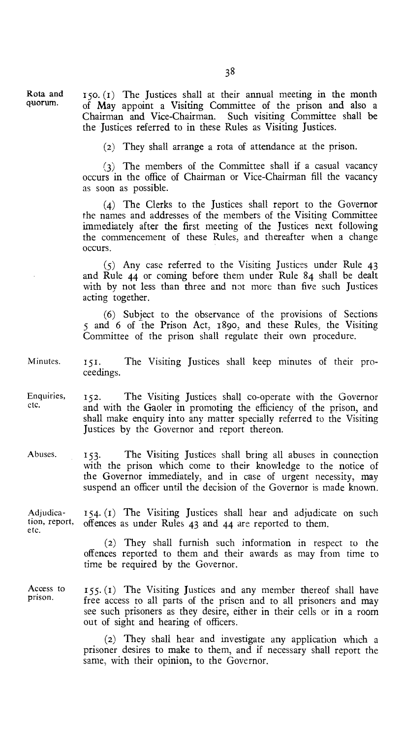Rota and quorum.

 $150. (1)$  The Justices shall at their annual meeting in the month of May appoint a Visiting Committee of the prison and also a Chairman and Vice-Chairman. Such visiting Committee shall be the Justices referred to in these Rules as Visiting Justices.

(2) They shall arrange a rota of attendance at the prison.

(3) The members of the Committee shall if a casual vacancy occurs in the office of Chairman or Vice-Chairman fill the vacancy as soon as possible.

(4) The Clerks to the Justices shall report to the Governor the names and addresses of the members of the Visiting Committee immediately after the first meeting of the Justices next following the commencement of these Rules, and thereafter when a change occurs.

(5) Any case referred to the Visiting Justices under Rule 43 and Rule 44 or coming before them under Rule 84 shall be dealt with by not less than three and not more than five such Justices acting together.

(6) Subject to the observance of the provisions of Sections 5 and 6 of the Prison Act, 1890, and these Rules, the Visiting Committee of the prison shall regulate their own procedure.

Minutes. 151. The Visiting Justices shall keep minutes of their proceedings.

Enquiries, 152. The Visiting Justices shall co-operate with the Governor<br>etc. and with the Gooler in promoting the efficiency of the prison and and with the Gaoler in promoting the efficiency of the prison, and shall make enquiry into any matter specially referred to the Visiting Justices by the Governor and report thereon.

Abuses. 153. The Visiting Justices shall bring all abuses in connection with the prison which come to their knowledge to the notice of the Governor immediately, and in case of urgent necessity, may suspend an officer until the decision of the Governor is made known.

Adjudica-  $154. (1)$  The Visiting Justices shall hear and adjudicate on such tion, report, offences as under Rules 42 and 44 are reported to them offences as under Rules  $43$  and  $44$  are reported to them. etc.

> (2) They shall furnish such information in respect to the offences reported to them and their awards as may from time to time be required by the Governor.

Access to prison.  $155. (1)$  The Visiting Justices and any member thereof shall have free access to all parts of the prison and to all prisoners and may see such prisoners as they desire, either in their cells or in a room out of sight and hearing of officers.

> (2) They shall hear and investigate any application which a prisoner desires to make to them, and if necessary shall report the same, with their opinion, to the Governor.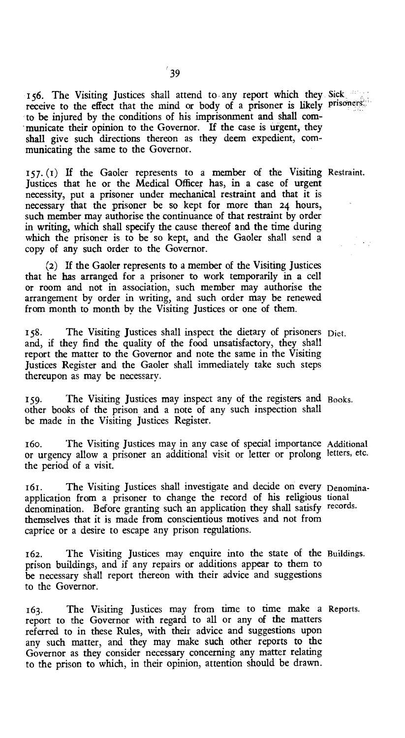156. The Visiting Justices shall attend to any report which they Sick receive to the effect that the mind or body of a prisoner is likely prisoners. to be injured by the conditions of his imprisonment and shall communicate their opinion to the Governor. If the case is urgent, they shall give such directions thereon as they deem expedient, communicating the same to the Governor.

157. (1) If the Gaoler represents to a member of the Visiting Restraint. Justices that he or the Medical Officer has, in a case of urgent necessity, put a prisoner under mechanical restraint and that it is necessary that the prisoner be so kept for more than 24 hours, such member may authorise the continuance of that restraint by order in writing, which shall specify the cause thereof and the time during which the prisoner is to be so kept, and the Gaoler shall send a copy of any such order to the Governor.

(2) If the Gaoler represents to a member of the Visiting Justices that he has arranged for a prisoner to work temporarily in a cell or room and not in association, such member may authorise the arrangement by order in writing, and such order may be renewed from month to month by the Visiting Justices or one of them.

158. The Visiting Justices shall inspect the dietary of prisoners Diet. and, if they find the quality of the food unsatisfactory, they shall report the matter to the Governor and note the same in the Visiting Justices Register and the Gaoler shall immediately take such steps thereupon as may be necessary.

159. The Visiting Justices may inspect any of the registers and Books. other books of the prison and a note of any such inspection shall be made in the Visiting Justices Register.

i6o. 'The Visiting Justices may in any case of special importance Additional or urgency allow a prisoner an additional visit or letter or prolong letters, etc. the period of a visit.

161. The Visiting Justices shall investigate and decide on every Denominaapplication from a prisoner to change the record of his religious tional denomination. Before granting such an application they shall satisfy records. themselves that it is made from conscientious motives and not from caprice or a desire to escape any prison regulations.

162. The Visiting Justices may enquire into the state of the Buildings. prison buildings, and if any repairs or additions appear to them to be necessary shall report thereon with their advice and suggestions to the Governor.

163. The Visiting Justices may from time to time make a Reports. report to the Governor with regard to all or any of the matters referred to in these Rules, with their advice and suggestions upon any such matter, and they may make such other reports to the Governor as they consider necessary concerning any matter relating to the prison to which, in their opinion, attention should be drawn.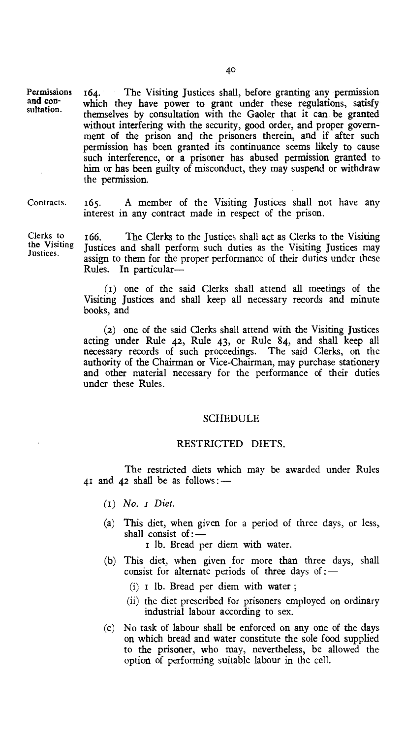Permissions 164. The Visiting Justices shall, before granting any permission which they have power to grant under these regulations, satisfy themselves by consultation with the Gaoler that it can be granted without interfering with the security, good order, and proper government of the prison and the prisoners therein, and if after such permission has been granted its continuance seems likely to cause such interference, or a prisoner has abused permission granted to him or has been guilty of misconduct, they may suspend or withdraw the permission.

and consultation.

Contracts. 165. A member of the Visiting Justices shall not have any interest in any contract made in respect of the prison.

Clerks to the Visiting Justices.

166. The Clerks to the Justices shall act as Clerks to the Visiting Justices and shall perform such duties as the Visiting Justices may assign to them for the proper performance of their duties under these Rules. In particular—

(1) one of the said Clerks shall attend all meetings of the Visiting Justices and shall keep all necessary records and minute books, and

(2) one of the said Clerks shall attend with the Visiting Justices acting under Rule 42, Rule 43, or Rule 84, and shall keep all necessary records of such proceedings. authority of the Chairman or Vice-Chairman, may purchase stationery and other material necessary for the performance of their duties under these Rules.

#### SCHEDULE

#### RESTRICTED DIETS.

The restricted diets which may be awarded under Rules 41 and 42 shall be as follows:  $-$ 

- (I) *No. i Diet.*
- (a) This diet, when given for a period of three days, or less, shall consist of :—

I lb. Bread per diem with water.

- (b) This diet, when given for more than three days, shall consist for alternate periods of three days of :-
	- $(i)$  I lb. Bread per diem with water;
	- (ii) the diet prescribed for prisoners employed on ordinary industrial labour according to sex.
- (c) No task of labour shall be enforced on any one of the days on which bread and water constitute the sole food supplied to the prisoner, who may, nevertheless, be allowed the option of performing suitable labour in the cell.